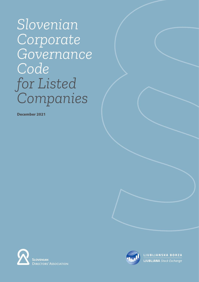*Slovenian Corporate Governance Code for Listed Companies*

December 2021





LJUBLJANSKA BORZA **LJUBLJANA** Stock Exchange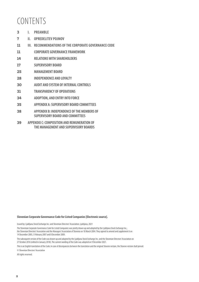# CONTENTS

- **3 I. PREAMBLE**
- **7 II. OPREDELITEV POJMOV**
- **11 III. RECOMMENDATIONS OF THE CORPORATE GOVERNANCE CODE**
- **11 CORPORATE GOVERNANCE FRAMEWORK**
- **14 RELATIONS WITH SHAREHOLDERS**
- **17 SUPERVISORY BOARD**
- **25 MANAGEMENT BOARD**
- **28 INDEPENDENCE AND LOYALTY**
- **30 AUDIT AND SYSTEM OF INTERNAL CONTROLS**
- **31 TRANSPARENCY OF OPERATIONS**
- **34 ADOPTION, AND ENTRY INTO FORCE**
- **35 APPENDIX A: SUPERVISORY BOARD COMMITTEES**
- **38 APPENDIX B: INDEPENDENCE OF THE MEMBERS OF SUPERVISORY BOARD AND COMMITTEES**
- **39 APPENDIX C: COMPOSITION AND REMUNERATION OF THE MANAGEMENT AND SUPERVISORY BOARDS**

#### **Slovenian Corporate Governance Code for Listed Companies [Electronic source].**

Issued by: Ljubljana Stock Exchange Inc. and Slovenian Directors' Association, Ljubljana, 2021

The Slovenian Corporate Governance Code for Listed Companies was jointly drawn up and adopted by the Ljubljana Stock Exchange Inc., the Slovenian Directors' Association and the Managers' Association of Slovenia on 18 March 2004. They agreed to amend and supplement it on 14 December 2005, 5 February 2007 and 8 December 2009.

The subsequent version of the Code was drawn up and adopted by the Ljubljana Stock Exchange Inc. and the Slovenian Directors' Association on 27 October 2016 (edited in January 2018). The current wording of the Code was adopted on 9 December 2021.

This is an English translation of the Code; in case of discrepancies between the translation and the original Slovene version, the Slovene version shall prevail.

© Slovenian Directors' Association

All rights reserved.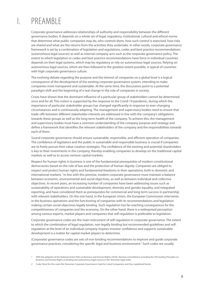# PRFAMBI F

Corporate governance addresses relationships of authority and responsibility between the diferent governance bodies. It depends on a whole set of legal, regulatory, institutional, cultural and ethical norms that determine what public companies may do, who controls them, how such control is exercised, how risks are shared and what are the returns from the activities they undertake. In other words, corporate governance framework is set by a combination of legislation and regulations, codes and best practice recommendations (autonomous legal sources) as well as internal company acts such as the corporate governance policy. The extent to which legislation or codes and best practice recommendations have force in individual countries depends on their legal systems, which may be regulatory or rely on autonomous legal sources. Relying on autonomous legal sources, which are then followed to the greatest extent possible, is typical of countries with high corporate governance culture.

The evolving debate regarding the purpose and the interest of companies on a global level is a logical consequence of the development of the existing corporate governance system, intending to make companies more transparent and sustainable. At the same time, the discussions point to a potential paradigm shift and the beginning of a real change in the role of companies in society.

Crises have shown that the dominant infuence of a particular group of stakeholders cannot be determined once and for all. This notion is supported by the response to the Covid-19 pandemic, during which the importance of particular stakeholder groups has changed signifcantly in response to ever-changing circumstances and is continuously adapting. The management and supervisory bodies need to ensure that trade-ofs between diferent stakeholder interests are addressed in line with the company's obligations towards these groups as well as the long-term health of the company. To achieve this, the management and supervisory bodies must have a common understanding of the company purpose and strategy and defne a framework that identifes the relevant stakeholders of the company and the responsibilities towards each of them.

Sound corporate governance should ensure sustainable, responsible, and efficient operation of companies. The confdence of legislators and the public in sustainable and responsible business is crucial if companies are to freely pursue their value creation strategies. The confdence of the existing and potential shareholders is key to their investments in the company, thereby enabling companies to develop on the traditional capital markets as well as to access venture capital markets.

Respect for human rights in business is one of the fundamental prerequisites of modern constitutional democracies based on the rule of law and the protection of human dignity. Companies are obliged to respect and protect human rights and fundamental freedoms in their operations, both in domestic and international markets.<sup>1</sup> In line with this premise, modern corporate governance must maintain a balance between economic, environmental and social objectives, as well as between individual and collective objectives. In recent years, an increasing number of companies have been addressing issues such as sustainability of operations and sustainable development, diversity and gender equality, and integrated reporting, and have considered them as prerequisites for commercial and long-term success in partnership with relevant stakeholders. On the one hand, in the European Union, the European Commission intervenes in the business operations and the functioning of companies with its recommendations and legislation making certain social objectives legally binding. Such regulation has far-reaching consequences for the competitiveness of companies and the economy. On the other hand, there is a widespread perception among various experts, market players and companies that self-regulation is preferable to legislation.

Corporate governance codes are the main instrument of self-regulation in corporate governance. The extent to which the combination of legal regulation, non-legally binding but recommended guidelines and selfregulation at the level of an individual company inspires investor confdence and supports sustainable development is a matter for capital market players to determine.

(Corporate) governance codes are sets of non-binding recommendations to improve and guide corporate governance practices, considering the specific legal and business environment.<sup>2</sup> Such codes are usually

<sup>1</sup> With the adoption of the National Action Plan on Business and Human Rights (2018), Slovenia committed to including the UN Guiding Principles on Business and Human Rights as binding and autonomous legal sources in the Slovenian legal order.

<sup>2</sup> Code: Short for this code (the Slovenian Corporate Governance Code for Listed Companies) and thus capitalised herein.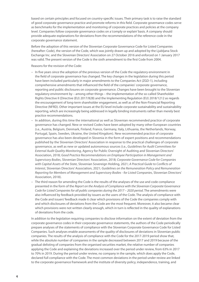based on certain principles and focused on country-specifc issues. Their primary task is to raise the standard of good corporate governance practice and promote reforms in this feld. Corporate governance codes serve as benchmarks for the implementation and monitoring of corporate practices and policies at the company level. Companies follow corporate governance codes on a 'comply or explain' basis. A company should provide adequate explanations for deviations from the recommendations of the reference code in the corporate governance statement.

Before the adoption of this version of the Slovenian Corporate Governance Code for Listed Companies (hereafter: Code), the version of the Code, which was jointly drawn up and adopted by the Ljubljana Stock Exchange Inc. and the Slovenian Directors' Association on 27 October 2016 and enforced on 1 January 2017 was valid. The present version of the Code is the sixth amendment to the frst Code from 2004.

Reasons for the revision of the Code:

- In fve years since the adoption of the previous version of the Code the regulatory environment in the feld of corporate governance has changed. The key changes in the legislation during this period have been included particularly in major amendments to the Companies Act (ZGD-1), including comprehensive amendments that infuenced the feld of the companies' corporate governance, reporting and public disclosures on corporate governance. Changes have been brought to the Slovenian regulatory environment by – among other things – the implementation of the so-called Shareholder Rights Directive II (Directive (EU) 2017/828) and the Implementing Regulation (EU) 2018/1212 as regards the encouragement of long-term shareholder engagement, as well as of the Non-Financial Reporting Directive (NFRD). Other important issues at the EU level include corporate sustainability and sustainability reporting, which are increasingly being addressed in legally binding instruments rather than merely best practice recommendations.
- In addition, during this time the international as well as Slovenian recommended practice of corporate governance has changed. New or revised Codes have been adopted by many other European countries (i.e., Austria, Belgium, Denmark, Finland, France, Germany, Italy, Lithuania, the Netherlands, Norway, Portugal, Spain, Sweden, Ukraine, the United Kingdom). New recommended practice of corporate governance has also been developed in Slovenia in the form of expert positions and recommendations published by the Slovenian Directors' Association in response to the practical challenges of corporate governance, as well as new or updated autonomous sources (i.e., *Guidelines for Audit Committees for External Audit Quality Monitoring*, Agency for Public Oversight of Auditing and Slovenian Directors' Association, 2018; *Good Practice Recommendations on Employee Participation in Management and Supervisory Bodies*, Slovenian Directors' Association, 2018; *Corporate Governance Code for Companies with Capital Assets of the State*, Slovenian Sovereign Holding, 2021; *A Practical Guide to Con*f*icts of Interest*, Slovenian Directors' Association, 2021; *Guidelines on the Remuneration Policy and Remuneration Reporting for Members of Management and Supervisory Bodies - for Listed Companies*, Slovenian Directors' Association, 2018).
- The third reason for amending the Code is the results of the analyses of the use and code compliance presented in the form of the *Report on the Analysis of Compliance with the Slovenian Corporate Governance Code for Listed Companies for all public companies during the 2017 – 2020 period*. The amendments were also infuenced by feedback provided by issuers as the users of the Code. The analysis of compliance with the Code and issuers' feedback made it clear which provisions of the Code the companies comply with and which disclosures of deviations from the Code are the most frequent. Moreover, it also became clear which provisions were not written clearly enough, which in turn is refected in the quality of explanations of deviations from the code.

In addition to the legislation requiring companies to disclose information on the extent of deviation from the corporate governance codes in their corporate governance statements, the authors of the Code periodically prepare analyses of the statements of compliance with the Slovenian Corporate Governance Code for Listed Companies. Such analyses enable assessments of the quality of disclosures of deviations in Slovenian public companies. The results of the analysis of compliance with the Code for the 2017-2019 period show that, while the absolute number of companies in the sample decreased between 2017 and 2019 because of the gradual delisting of companies from the organised securities market, the relative number of companies applying the Code and explaining the deviations increased over the period under review, from 63% in 2017 to 70% in 2019. During the period under review, no company in the sample, which does apply the Code, declared full compliance with the Code. The most common deviations in the period under review are linked to the corporate governance framework and the institute of diversity policy, independence, training, and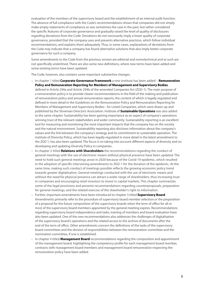evaluation of the members of the supervisory board and the establishment of an internal audit function. The absence of full compliance with the Code's recommendations shows that companies did not simply make empty statements of compliance as was sometimes the case in the past, but rather considered the specifc features of corporate governance and gradually raised the level of quality of disclosures regarding deviations from the Code. Deviations do not necessarily imply a lower quality of corporate governance, provided that the company uses and presents alternative practices, which follow individual recommendations, and explains them adequately. Thus, in some cases, explanations of deviations from the Code may indicate that a company has found alternative solutions that also imply better corporate governance for such a company.

Some amendments to the Code from the previous version are editorial and nomotechnical and as such are not specifcally underlined. There are also some new defnitions, where new terms have been added and some existing terms have been updated.

The Code, however, also contains some important substantive changes:

- In chapter 1 titled **Corporate Governance Framework** a new institute has been added **Remuneration Policy and Remuneration Reporting for Members of Management and Supervisory Bodies**, defned in Article 294a and Article 294b of the amended Companies Act (ZGD-1). The main purpose of a remuneration policy is to provide clearer recommendations in the feld of the making and publication of remuneration policy and annual remuneration reports, the content of which is legally regulated and defned in more detail in the Guidelines on the Remuneration Policy and Remuneration Reporting for Members of Management and Supervisory Bodies - for Listed Companies, which were drawn up and published by the Slovenian Directors' Association. Institute of **Sustainable Operations** was also added to the same chapter. Sustainability has been gaining importance as an aspect of company's operations winning trust of the relevant stakeholders and wider community. Sustainability reporting is an excellent tool for measuring and monitoring the most important impacts that the company has on the society and the natural environment. Sustainability reporting also discloses information about the company's values and the link between the company's strategy and its commitment to sustainable operation. The institute of Diversity Policy, which has been legally regulated in more detail in the latest amendment to the ZGD 1, has also been updated. The focus is on taking into account diferent aspects of diversity and on developing and updating Diversity Policy in companies.
- In chapter 2 titled **Relations with Shareholders** the recommendations regarding the conduct of general meetings with the use of electronic means without physical presence have been updated. The need to hold such general meetings arose in 2020 because of the Covid-19 epidemic, which resulted in the adoption of specifc intervening amendments to ZGD-1 for the duration of the epidemic. At the same time, making such conduct of meetings possible refects the growing economic policy trend towards greater digitalisation. General meetings conducted with the use of electronic means and without the need for physical presence can attract a wider range of shareholders, thus increasing trust in companies and encouraging retail investors to invest in capital markets. This chapter summarizes some of the legal provisions and presents recommendations regarding counterproposals, preparation for general meetings, and the related exercise of the shareholder's right to information.
- Further, important amendments have been introduced to chapter 3 titled **Supervisory Board**. Amendments primarily refer to the procedure of supervisory board member selection or the preparation of a proposal for the future composition of the supervisory boards when the term of office for all or most of the supervisory board members appointed by the general meeting expires. Recommendations regarding supervisory board independence and tasks, training of members and board evaluation have also been updated. One of the new recommendations also addresses the challenges of digitalisation of the supervisory board's operations and the related access to the archive of documents after the end of the term of office. Other amendments concern the definitions of the tasks of the supervisory board committees and the division of responsibilities between the remuneration committee and the nomination committee, if one is established.
- In chapter 4 titled **Management Board** recommendations regarding the composition and appointment of the management board, highlighting the competency profle for each management board member, contracts with management board members and management board remuneration respecting the remuneration policy have been added.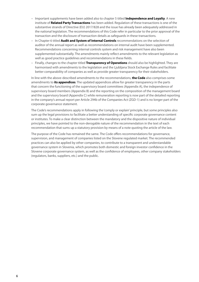- Important supplements have been added also to chapter 5 titled **Independence and Loyalty**. A new institute of **Related Party Transactions** has been added. Regulation of these transactions is one of the substantive strands of Directive (EU) 2017/828 and the issue has already been adequately addressed in the national legislation. The recommendations of this Code refer in particular to the prior approval of the transaction and the disclosure of transaction details as safeguards in these transactions.
- In Chapter 6 titled **Audit and System of Internal Controls** recommendations on the selection of auditor of the annual report as well as recommendations on internal audit have been supplemented. Recommendations concerning internal controls system and risk management have also been supplemented substantially. The amendments mainly refect amendments to the relevant legislation as well as good practice guidelines and recommendations in these felds.
- Finally, changes to the chapter titled **Transparency of Operations** should also be highlighted. They are harmonised with amendments to the legislation and the Ljubljana Stock Exchange Rules and facilitate better comparability of companies as well as provide greater transparency for their stakeholders.

In line with the above-described amendments to the recommendations, **the Code** also comprises some amendments to **its appendices**. The updated appendices allow for greater transparency in the parts that concern the functioning of the supervisory board committees (Appendix A), the independence of supervisory board members (Appendix B) and the reporting on the composition of the management board and the supervisory board (Appendix C) while remuneration reporting is now part of the detailed reporting in the company's annual report per Article 294b of the Companies Act (ZGD-1) and is no longer part of the corporate governance statement.

The Code's recommendations apply in following the 'comply or explain' principle, but some principles also sum up the legal provisions to facilitate a better understanding of specifc corporate governance content or institutes. To make a clear distinction between the mandatory and the dispositive nature of individual principles, we have pointed to the non-derogable nature of the recommendation in the text of each recommendation that sums up a statutory provision by means of a note quoting the article of the law.

The purpose of the Code has remained the same. The Code offers recommendations for governance, supervision, and management of companies listed on the Slovene regulated market. The recommended practices can also be applied by other companies, to contribute to a transparent and understandable governance system in Slovenia, which promotes both domestic and foreign investor confdence in the Slovene corporate governance system, as well as the confdence of employees, other company stakeholders (regulators, banks, suppliers, etc.) and the public.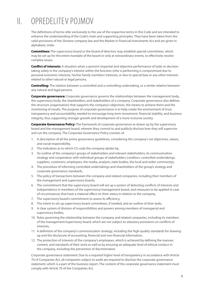# II. OPREDELITEV POJMOV

The defnitions of terms refer exclusively to the use of the respective terms in this Code and are intended to enhance the understanding of the Code's main and supporting principles. They have been taken from the valid provisions of the Slovene company law and the Market in Financial Instruments Act and are given in alphabetic order.

**Committees:** The supervisory board or the board of directors may establish special committees, which may be set up for the entire mandate of the board or only at extraordinary events, to efectively resolve complex issues.

**Confict of interests:** A situation when a person's impartial and objective performance of tasks or decision taking solely in the company's interest within the function (s)he is performing is compromised due to personal economic interests, his/her family members' interests, or due to special bias or any other interests related to other natural or legal persons.

**Controlling:** The relation between a controlled and a controlling undertaking, or a similar relation between any natural and legal persons.

**Corporate governance:** Corporate governance governs the relationships between the management body, the supervisory body, the shareholders, and stakeholders of a company. Corporate governance also defnes the structure (organisation) that supports the company's objectives, the means to achieve them and the monitoring of results. The purpose of corporate governance is to help create the environment of trust, transparency and accountability needed to encourage long-term investment, fnancial stability, and business integrity, thus supporting stronger growth and development of a more inclusive society.

**Corporate Governance Policy:** The framework of corporate governance as drawn up by the supervisory board and the management board, wherein they commit to and publicly disclose how they will supervise and run the company. The Corporate Governance Policy consists of:

- 1. A description of all the prime governance guidelines, considering the company's set objectives, values, and social responsibility,
- 2. The indication as to which CG code the company abides by,
- 3. An outline of the company's groups of stakeholders and relevant stakeholders, its communication strategy and cooperation with individual groups of stakeholders (creditors, controlled undertakings, suppliers, customers, employees, the media, analysts, state bodies, the local and wider community),
- 4. The procedure of informing controlled undertakings and shareholders of the group's strategy and corporate governance standards,
- 5. The policy of transactions between the company and related companies, including their members of the management and supervisory boards,
- 6. The commitment that the supervisory board will set up a system of detecting conficts of interests and independence in members of the supervisory/management board, and measures to be applied in case of circumstances that have a material efect on their status in relation to the company,
- 7. The supervisory board's commitment to assess its efficiency,
- 8. The intent to set up supervisory board committees, if needed, and an outline of their tasks,
- 9. A clear system of division of responsibilities and powers among members of managerial and supervisory bodies,
- 10. Rules governing the relationship between the company and related companies, including its members of the management/supervisory board, which are not subject to statutory provisions on conficts of interests,
- 11. A defnition of the company's communication strategy, including the high-quality standards for drawing up and the disclosure of accounting, fnancial and non-fnancial information,
- 12. The protection of interests of the company's employees, which is achieved by defning the manner, content, and standards of their work as well as by ensuring an adequate level of ethical conduct in the company, including the prevention of discrimination.

Corporate governance statement: Due to a required higher level of transparency in accordance with Article 70 of Companies Act, all companies subject to audit are required to disclose the corporate governance statement, which is a part of the business report. The content of the corporate governance statement must comply with Article 70 of the Companies Act.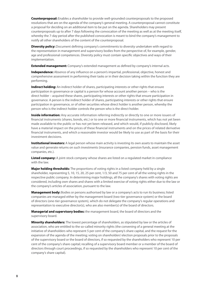**Counterproposal:** Enables a shareholder to provide well-grounded counterproposals to the proposed resolutions that are on the agenda of the company's general meeting. A counterproposal cannot constitute a proposal for deciding on an additional item to be put on the agenda. Shareholders may present counterproposals up to after 7 days following the convocation of the meeting as well as at the meeting itself, whereby the 7-day period after the published convocation is meant to bind the company's management to notify all other shareholders of the content of the counterproposal.

**Diversity policy:** Document defning company's commitments to diversity undertaken with regard to the representation in management and supervisory bodies from the perspective of, for example, gender, age and professional competences. Diversity policy must contain specifc objectives and ways of their implementation.

**Extended management:** Company's extended management as defned by company's internal acts.

**Independence:** Absence of any infuence on a person's impartial, professional, objective, honest and comprehensive assessment in performing their tasks or in their decision taking within the function they are performing.

**Indirect holding:** An indirect holder of shares, participating interests or other rights that ensure participation in governance or capital is a person for whose account another person – who is the direct holder – acquired these shares, participating interests or other rights that ensure participation in governance. A person is the indirect holder of shares, participating interests or other rights that ensure participation in governance, or of other securities whose direct holder is another person, whereby the person who is the indirect holder controls the person who is the direct holder.

**Inside information:** Any accurate information referring indirectly or directly to one or more issuers of fnancial instruments (shares, bonds, etc.) or to one or more fnancial instruments, which has not yet been made available to the public or has not yet been released, and which would, if publicly disclosed, likely have a material impact on the prices of these fnancial instruments and on the prices of related derivative fnancial instruments, and which a reasonable investor would be likely to use as part of the basis for their investment decisions.

**Institutional investors:** A legal person whose main activity is investing its own assets to maintain the asset value and generate returns on such investments (insurance companies, pension funds, asset management companies, etc.).

**Listed company:** A joint-stock company whose shares are listed on a regulated market in compliance with the law.

**Major holding thresholds:** The proportions of voting rights in a listed company held by a single shareholder, representing 5, 10, 15, 20, 25 per cent, 1/3, 50 and 75 per cent of all the voting rights in the respective public company. In determining major holdings, all the company's shares with voting rights are considered, including own shares and shares with a limited exercise of voting rights either due to the law or the company's articles of association, pursuant to the law.

**Management body:** Bodies or persons authorised by law or a company's acts to run its business; listed companies are managed either by the management board (two-tier governance system) or the board of directors (one-tier governance system), which do not delegate the company's regular operations and representation to executive director(s), who are also member(s) of the board of directors.

**Managerial and supervisory bodies:** the management board, the board of directors and the supervisory board.

**Minority shareholders:** The lowest percentage of shareholders, as stipulated by law or the articles of association, who are entitled to the so-called minority rights (the convening of a general meeting at the initiative of shareholders who represent 5 per cent of the company's share capital, and the request for the expansion of the agenda of the meeting; voting on shareholders' election proposals prior to the proposals of the supervisory board or the board of directors, if so requested by the shareholders who represent 10 per cent of the company's share capital; recalling of a supervisory board member or a member of the board of directors through court proceedings, if so requested by the shareholders who represent 10 per cent of the company's share capital).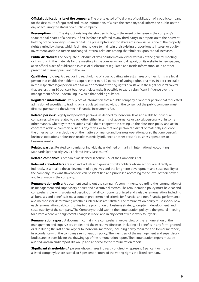**Official publication site of the company:** The pre-selected official place of publication of a public company for the disclosure of regulated and inside information, of which the company shall inform the public on the day of acquiring the status of a public company.

**Pre-emptive right:** The right of existing shareholders to buy, in the event of increase in the company's share capital, shares of a new issue first (before it is offered to any third party), in proportion to their current holding of the company's share capital. The pre-emptive right to shares of a new issue is one of the property rights carried by shares, which facilitates holders to maintain their existing proportionate interest or equity investment, and thus fosters unchanged internal relations among shareholders upon capital increases.

**Public disclosure:** The adequate disclosure of data or information, either verbally at the general meeting or in writing in the materials for the meeting, in the company's annual report, on its website, in newspapers, at an official place of publication in case of disclosure of regulated and inside information, or in another prescribed manner pursuant to the law.

**Qualifying holding:** A direct or indirect holding of a participating interest, shares or other rights in a legal person that enable the holder to acquire either min. 10 per cent of voting rights, or a min. 10 per cent stake in the respective legal person's capital, or an amount of voting rights or a stake in the legal person's capital that are less than 10 per cent but nevertheless make it possible to exert a signifcant infuence over the management of the undertaking in which that holding subsists.

**Regulated information:** Every piece of information that a public company or another person that requested admission of securities to trading on a regulated market without the consent of the public company must disclose pursuant to the Market in Financial Instruments Act.

**Related persons:** Legally independent persons, as defned by individual laws applicable to individual companies, who are related to each other either in terms of governance or capital, personally or in some other manner, whereby these relations make them cooperate in setting up their business policy and act in concert to achieve common business objectives, or so that one person can direct or materially infuence the other person(s) in deciding on the matters of fnance and business operations, or so that one person's business operations or business results materially infuence another person's business operations or business results.

**Related parties:** Related companies or individuals, as defned primarily in International Accounting Standards (particularly IAS 24 Related Party Disclosures).

**Related companies:** Companies as defned in Article 527 of the Companies Act.

**Relevant stakeholders** are such individuals and groups of stakeholders whose actions are, directly or indirectly, essential to the achievement of objectives and the long-term development and sustainability of the company. Relevant stakeholders can be identifed and prioritised according to the level of their power and legitimacy in the company.

**Remuneration policy:** A document setting out the company's commitments regarding the remuneration of its management and supervisory bodies and executive directors. The remuneration policy must be clear and comprehensible, with a detailed description of all components of fxed and variable remuneration, including all bonuses and benefts. It must contain predetermined criteria for fnancial and non-fnancial performance and methods for determining whether such criteria are satisfed. The remuneration policy must specify how each remuneration paid contributes to the promotion of business strategy, long-term development, and sustainability of the company. The Company should submit the remuneration policy to the general meeting for a vote whenever a signifcant change is made, and in any event at least every four years.

**Remuneration report:** A document containing a comprehensive overview of the remuneration of the management and supervisory bodies and the executive directors, including all benefts in any form, granted or due during the last fnancial year to individual members, including newly recruited and former members, in accordance with the company's remuneration policy. The members of the management and supervisory bodies are responsible for the drawing up of the remuneration report. The remuneration report must be audited, and an audit report drawn up and annexed to the remuneration report.

**Significant shareholder:** A person whose shares indirectly or directly represent 5 per cent or more of a listed company's share capital, or 5 per cent or more of the voting rights in a listed company.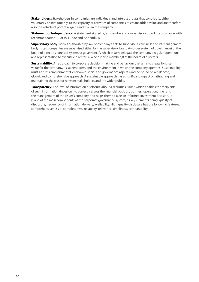**Stakeholders:** Stakeholders in companies are individuals and interest groups that contribute, either voluntarily or involuntarily, to the capacity or activities of companies to create added value and are therefore also the vehicle of potential gains and risks in the company.

**Statement of Independence:** A statement signed by all members of a supervisory board in accordance with recommendation 13 of this Code and Appendix B.

**Supervisory body:** Bodies authorised by law or company's acts to supervise its business and its management body; listed companies are supervised either by the supervisory board (two-tier system of governance) or the board of directors (one-tier system of governance), which in turn delegate the company's regular operations and representation to executive director(s), who are also member(s) of the board of directors.

**Sustainability:** An approach to corporate decision-making and behaviour that aims to create long-term value for the company, its stakeholders, and the environment in which the company operates. Sustainability must address environmental, economic, social and governance aspects and be based on a balanced, global, and comprehensive approach. A sustainable approach has a signifcant impact on attracting and maintaining the trust of relevant stakeholders and the wider public.

**Transparency:** The level of information disclosure about a securities issuer, which enables the recipients of such information (investors) to correctly assess the fnancial position, business operation, risks, and the management of the issuer's company, and helps them to take an informed investment decision. It is one of the main components of the corporate governance system, its key elements being: quality of disclosure, frequency of information delivery, availability. High quality disclosure has the following features: comprehensiveness or completeness, reliability, relevance, timeliness, comparability.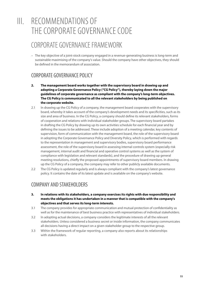# III. RECOMMENDATIONS OF THE CORPORATE GOVERNANCE CODE

### CORPORATE GOVERNANCE FRAMEWORK

– The key objective of a joint-stock company engaged in a revenue-generating business is long-term and sustainable maximising of the company's value. Should the company have other objectives, they should be defned in the memorandum of association.

### CORPORATE GOVERNANCE POLICY

- **2. The management board works together with the supervisory board in drawing up and adopting a Corporate Governance Policy ("CG Policy"), thereby laying down the major guidelines of corporate governance as compliant with the company's long-term objectives. The CG Policy is communicated to all the relevant stakeholders by being published on the corporate website.**
- 2.1 In drawing up the CG Policy of a company, the management board cooperates with the supervisory board, whereby it takes account of the company's development needs and its specifcities, such as its size and area of business. In the CG Policy, a company should defne its relevant stakeholders, forms of cooperation and relations with individual stakeholder groups. The supervisory board partakes in drafting the CG Policy by drawing up its own activities schedule for each fnancial year and by defning the issues to be addressed. These include adoption of a meeting calendar, key contents of supervision, form of communication with the management board, the role of the supervisory board in adopting the Corporate Governance Policy and Diversity Policy, which is performed with regards to the representation in management and supervisory bodies, supervisory board performance assessment, the role of the supervisory board in assessing internal controls system (especially risk management, internal audit and fnancial and operative control systems as well as the system of compliance with legislation and relevant standards), and the procedure of drawing up general meeting resolutions, chiefy the proposed appointments of supervisory board members. In drawing up the CG Policy of a company, the company may refer to other publicly available documents.
- 2.2 The CG Policy is updated regularly and is always compliant with the company's latest governance policy. It contains the date of its latest update and is available on the company's website.

#### COMPANY AND STAKEHOLDERS

- **3. In relations with its stakeholders, a company exercises its rights with due responsibility and meets the obligations it has undertaken in a manner that is compatible with the company's objectives and that serves its long-term interests.**
- 3.1 The company provides for appropriate communication and mutual protection of confdentiality as well as for the maintenance of best business practice with representatives of individual stakeholders.
- 3.2 In adopting actual decisions, a company considers the legitimate interests of all the relevant stakeholders. Unless considered a business secret or inside information, the company communicates all decisions having a direct impact on a given stakeholder group to the respective group.
- 3.3 Within the framework of regular reporting, a company also reports about its relationships with stakeholders.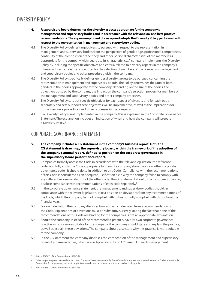### DIVERSITY POLICY

- **4. A supervisory board determines the diversity aspects appropriate for the company's management and supervisory bodies and in accordance with the relevant law and best practice recommendations. The supervisory board draws up and adopts the Diversity Policy performed with respect to the representation in management and supervisory bodies.**
- 4.1 The Diversity Policy defnes target diversity pursued with respect to the representation in management and supervisory bodies from the perspective of gender, age, professional competences, continuity of the composition of the body and other personal characteristics of the members as appropriate for the company with regards to its characteristics. A company implements the Diversity Policy by including the specifc objectives and criteria related to diversity aspects in the company's internal acts, which defne procedures for the selection of members of the company's management and supervisory bodies and other procedures within the company.
- 4.2 The Diversity Policy specifcally defnes gender diversity targets to be pursued concerning the representation in management and supervisory boards. The Policy determines the ratio of both genders in the bodies appropriate for the company, depending on the size of the bodies, the objectives pursued by the company, the impact on the company's selection process for members of the management and supervisory bodies and other company processes.
- 4.3 The Diversity Policy sets out specifc objectives for each aspect of diversity and for each body separately and sets out how these objectives will be implemented, as well as the implications for human resource procedures and other processes in the company.
- 4.4 If a Diversity Policy is not implemented in the company, this is explained in the Corporate Governance Statement. The explanation includes an indication of when and how the company will prepare a Diversity Policy.<sup>3</sup>

#### CORPORATE GOVERNANCE STATEMENT

- **5. The company includes a CG statement in the company's business report. Until the CG statement is drawn up, the supervisory board, within the framework of the adoption of the company's annual report, defnes its position on the corporate governance in the supervisory board performance report.**
- 5.1 Companies formally access the Code in accordance with the relevant legislation (the reference code) and fully apply the Code appropriate to them. If a company should apply another corporate governance code,<sup>4</sup> it should do so in addition to this Code. Compliance with the recommendations of this Code is considered as an adequate justifcation as to why the company failed to comply with any diferent recommendations of the other code. The CG statement should, in a transparent manner, disclose compliance with recommendations of each code separately.<sup>5</sup>
- 5.2 In the corporate governance statement, the management and supervisory bodies should, in compliance with the relevant legislation, take a position on deviations from any recommendations of the Code, which the company has not complied with or has not fully complied with throughout the fnancial year.
- 5.3 For each deviation the company discloses how and why it deviated from a recommendation of the Code. Explanations of deviations must be substantive. Merely stating the fact that none of the recommendations of this Code are binding for the companies is not an appropriate explanation.
- 5.4 Should the company, instead of the recommended practice, have its own corporate governance practice, which is more suitable for the company, the company should state and explain the practice, as well as explain these deviations. The company should also state why this practice is more suitable for the company.
- 5.5 In the CG statement the company discloses the composition of the management and supervisory boards by name in tables, which are in Appendix C1 and C2 herein. For each management

5 Article 70(5)(1) of the Companies Act (ZGD-1).

<sup>3</sup> Article 70(5)(7) of the Companies Act (ZGD-1).

<sup>4</sup> Other corporate governance reference codes: Corporate Governance Code for State-Owned Enterprises, Corporate Governance Code for Non-Public Companies. A company may decide to apply its own code, which, however, must be accessible to the public.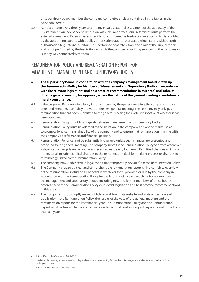or supervisory board member the company completes all data contained in the tables in the Appendix herein.

5.6 At least once in every three years a company ensures external assessment of the adequacy of the CG statement. An independent institution with relevant professional references must perform the external assessment. External assessment is not considered as business assurance, which is provided by the accounting experts with public authorisation (auditors) or accounting experts without public authorisation (e.g. internal auditors). It is performed separately from the audit of the annual report and is not performed by the institution, which is the provider of auditing services for the company or is in any way connected with them.

### REMUNERATION POLICY AND REMUNERATION REPORT FOR MEMBERS OF MANAGEMENT AND SUPERVISORY BODIES

- **6. The supervisory board, in cooperation with the company's management board, draws up the Remuneration Policy for Members of Management and Supervisory Bodies in accordance**  with the relevant legislation<sup>6</sup> and best practice recommendations in this area<sup>7</sup> and submits **it to the general meeting for approval, where the nature of the general meeting's resolution is merely consultative.**
- 6.1 If the proposed Remuneration Policy is not approved by the general meeting, the company puts an amended Remuneration Policy to a vote at the next general meeting. The company may only pay remuneration that has been submitted to the general meeting for a vote, irrespective of whether it has been approved.
- 6.2 Remuneration Policy should distinguish between management and supervisory bodies.
- 6.3 Remuneration Policy must be adapted to the situation in the company and on the market so as to promote long-term sustainability of the company and to ensure that remuneration is in line with the company's performance and fnancial position.
- 6.4 Remuneration Policy cannot be substantially changed unless such changes are presented and proposed to the general meeting. The company submits the Remuneration Policy to a vote whenever a signifcant change is made, and in any event at least every four years. Permitted changes which are not material include technical changes to the remuneration decision-making process or changes to terminology linked to the Remuneration Policy.
- 6.5 The company may, under certain legal conditions, temporarily deviate from the Remuneration Policy.
- 6.6 The Company prepares a clear and comprehensible remuneration report with a complete overview of the remuneration, including all benefts in whatever form, provided or due by the company in accordance with the Remuneration Policy for the last fnancial year to each individual member of the management and supervisory bodies, including new and former members of those bodies, in accordance with the Remuneration Policy or relevant legislation and best practice recommendations in this area.
- 6.7 The Company must promptly make publicly available on its website and at its official place of publication – the Remuneration Policy, the results of the vote of the general meeting and the remuneration report<sup>8</sup> for the last financial year. The Remuneration Policy and the Remuneration Report must be free of charge and publicly available for at least as long as they apply and for not less than ten years.

<sup>6</sup> Article 294a of the Companies Act (ZGD-1).

<sup>7</sup> Guidelines for drawing up remuneration policy and remuneration reporting for members of management and supervisory bodies, 2021 – under preparation

<sup>8</sup> Article 294b of the Companies Act (ZGD-1).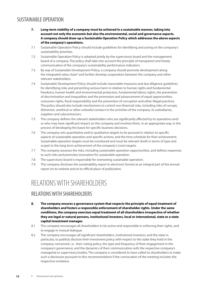#### SUSTAINABLE OPERATION

- **7. Long-term viability of a company must be achieved in a sustainable manner, taking into account not only the economic but also the environmental, social and governance aspects. A company should draw-up a Sustainable Operation Policy which addresses the above aspects of the company's operations.**
- 7.1 Sustainable Operation Policy should include guidelines for identifying and acting on the company's sustainability priorities.
- 7.2 Sustainable Operation Policy is adopted jointly by the supervisory board and the management board of a company. The policy shall take into account the principle of transparent and timely communication of the company's sustainability performance indicators.
- 7.3 By way of Sustainable Development Policy, a company should promote development along the integrated value chain<sup>9</sup> and further develop cooperation between the company and other relevant stakeholders.
- 7.4 Sustainable Development Policy should include reasonable measures and due diligence guidelines for identifying risks and preventing serious harm in relation to human rights and fundamental freedoms, human health and environmental protection, fundamental labour rights, the prevention of discrimination and inequalities and the promotion and advancement of equal opportunities, consumer rights, fscal responsibility and the prevention of corruption and other illegal practices. The policy should also include mechanisms to control non-fnancial risks, including risks of corrupt, dishonest, unethical or other unlawful conduct in the activities of the company, its subsidiaries, suppliers and subcontractors.
- 7.5 The company defines the relevant stakeholders who are significantly affected by its operations and/ or who may have signifcant impact on the company and involves them, in an appropriate way, in the process of developing the bases for specifc business decisions.
- 7.6 The company sets quantitative and/or qualitative targets to be pursued in relation to specifc aspects of sustainable operation and specifc actions, and the time schedule for their achievement. Sustainable operation targets must be monitored and must be relevant (both in terms of type and scope) to the long-term achievement of the company's (core) targets.
- 7.7 The company assesses the risks, including sustainable operation opportunities, and defnes responses to such risks and promotes innovation for sustainable operation.
- 7.8 The supervisory board is responsible for overseeing sustainable operation.
- 7.9 The company discloses the sustainability report in electronic format as an integral part of the annual report on its website and at its official place of publication.

### RELATIONS WITH SHAREHOLDERS

#### RELATIONS WITH SHAREHOLDERS

- **8. The company ensures a governance system that respects the principle of equal treatment of shareholders and fosters a responsible enforcement of shareholder rights. Under the same conditions, the company exercises equal treatment of all shareholders irrespective of whether they are legal or natural persons, institutional investors, local or international, state or a state capital investment manager.**
- 8.1 The company encourages all shareholders to be active and responsible in enforcing their rights, and to engage in mutual dialogue.
- 8.2 The company encourages all signifcant shareholders, institutional investors, and the state in particular, to publicly disclose their investment policy with respect to the stake they hold in the company concerned, i.e. their voting policy, the type and frequency of their engagement in the company's governance, and the dynamics of their communication with the respective company's managerial or supervisory bodies. The company is considered to have called its shareholders to make such a disclosure pursuant to this recommendation if the convocation of the meeting includes the respective invitation.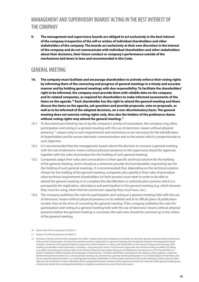### MANAGEMENT AND SUPERVIOSRY BOARDS' ACTING IN THE BEST INTEREST OF THE COMPANY

**9. The management and supervisory boards are obliged to act exclusively in the best interest of the company irrespective of the will or wishes of individual shareholders and other stakeholders of the company. The boards act exclusively at their own discretion in the interest of the company and do not communicate with individual shareholders and other stakeholders about their decisions, their future conduct or company's performance outside of the mechanisms laid down in laws and recommended in this Code.** 

#### GENERAL MEETING

- **10. The company must facilitate and encourage shareholders to actively enforce their voting rights by informing them of the convening and progress of general meetings in a timely and accurate manner and by holding general meetings with due responsibility. To facilitate the shareholders' right to be informed, the company must provide them with reliable data on the company and its related companies, as required for shareholders to make informed assessments of the items on the agenda.10 Each shareholder has the right to attend the general meeting and there discuss the items on the agenda, ask questions and provide proposals, vote on proposals, as well as to be informed of the adopted decisions, on a non-discriminatory basis. The general meeting does not exercise voting rights only, thus also the holders of the preference shares without voting rights may attend the general meeting.11**
- 10.1 To the extent permitted by law or by the company's articles of association, the company may allow participation and voting in a general meeting with the use of electronic means without physical presence,<sup>12</sup> subject only to such requirements and restrictions as are necessary for the identification of shareholders and for secure electronic communication and to the extent which is proportionate to such objective.
- 10.2 It is recommended that the management board submit the decision to convene a general meeting with the use of electronic means without physical presence to the supervisory board for approval, together with the rules of procedure for the holding of such general meeting.
- 10.3 Companies adapt their rules and convocations to their specifc technical solution for the holding of the general meeting, which should as a minimum provide the functionalities required by law for the holding of such general meetings. It is recommended that, depending on the technical solution chosen for the holding of the general meeting, companies also specify in their rules of procedure what technical requirements shareholders (or their proxies) must meet in order to be able to attend the general meeting or to complete the identifcation or authentication process which is a prerequisite for registration, attendance and participation in the general meeting (e.g. which browser they must be using, what internet connection capacity they must have, etc.).
- 10.4 The company publishes the rules for participation and voting at a general meeting held with the use of electronic means without physical presence on its website and at its official place of publication no later than at the time of convening the general meeting. If the company publishes the rules for participation and voting at a general meeting held with the use of electronic means without physical presence before the general meeting is convened, the said rules should be summed up in the notice of the general meeting.

<sup>10</sup> Article 305 of the Companies Act (ZGD-1).

<sup>11</sup> Article 315 of the Companies Act (ZGD-1).

<sup>12</sup> Provision of Article 297(4) of the Companies Act (ZGD-1) allows joint-stock companies to facilitate an electronic general meeting based on provisions of the articles of association. An electronic general meeting is organised as a general meeting with the physical presence of management board members, chairman of the general meeting, supervisory board members, a notary, and shareholders at the venue of the general meeting, while enabling shareholders either physically or remotely - using electronic means. The Slovenian legal order also introduced the possibility of holding a so-called virtual general meeting under the Act Determining the Intervention Measures to Mitigate the Consequences of the Second Wave of COVID-19 Epidemic (Official Gazette of the Republic of Slovenia, No. 175/2020; ZIUOPDVE), exclusively for the duration of the epidemic. Under the aforementioned intervention law, a virtual general meeting was conceived as a general meeting taking place in an entirely digital environment, and not at a specifc physical location. In a virtual general meeting, shareholders or their proxies attend and vote at the meeting as well as exercise other rights by way of electronic means. Members of the management board, members of the supervisory board, the chairman of the general meeting and a notary also attend the virtual general meeting in a digital environment by way of electronic means.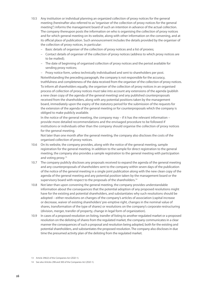- 10.5 Any institution or individual planning an organized collection of proxy notices for the general meeting (hereinafter also referred to as "organiser of the collection of proxy notices for the general meeting") informs the management board of such an intention in advance of the actual collection. The company thereupon posts the information on who is organising the collection of proxy notices and for which general meeting on its website, along with other information on the convening, and at its official place of publication. Such announcement includes the details provided by the organiser of the collection of proxy notices, in particular:
	- Basic details of organiser of the collection of proxy notices and a list of proxies;
	- Contact details of organiser of the collection of proxy notices (address to which proxy notices are to be mailed);
	- The date of beginning of organised collection of proxy notices and the period available for sending proxy notices;
	- Proxy notice form, unless technically individualised and sent to shareholders per post. Notwithstanding the preceding paragraph, the company is not responsible for the accuracy, truthfulness and completeness of the data received from the organiser of the collection of proxy notices. To inform all shareholders equally, the organiser of the collection of proxy notices in an organised process of collection of proxy notices must take into account any extensions of the agenda (publish a new clean copy of the agenda of the general meeting) and any published counterproposals received from the shareholders, along with any potential positions taken by the management board, immediately upon the expiry of the statutory period for the submission of the requests for the extension of the agenda of the general meeting or for counterproposals which the company is obliged to make publicly available.

In the notice of the general meeting, the company may – if it has the relevant information – provide more detailed recommendations and the envisaged procedure to be followed if institutions or individuals other than the company should organise the collection of proxy notices for the general meeting.

Not later than one month after the general meeting, the company also discloses the costs of the organised collection of proxy notices.

- 10.6 On its website, the company provides, along with the notice of the general meeting, sample registration for the general meeting. In addition to the sample for direct registration to the general meeting, the company also provides a sample registration to the general meeting with participation and voting proxy.13
- 10.7 The company publicly discloses any proposals received to expand the agenda of the general meeting and any counterproposals of shareholders sent to the company within seven days of the publication of the notice of the general meeting in a single joint publication along with the new clean copy of the agenda of the general meeting and any potential position taken by the management board or the supervisory board with respect to the proposals of the shareholders.<sup>14</sup>
- 10.8 Not later than upon convening the general meeting, the company provides understandable information about the consequences that the potential adoption of any proposed resolutions might have for the existing and potential shareholders, and substantiates why such resolutions should be adopted – either resolutions on changes of the company's articles of association (capital increase or decrease, waiver of existing shareholders' pre-emptive right, changes in the nominal value of shares, transformation of the type of shares) or resolutions on the company's corporate restructuring (division, merger, transfer of property, change in legal form of organization).
- 10.9 In cases of a proposed resolution on listing, transfer of listing to another regulated market or a proposed resolution on the delisting of shares from the regulated market, the company communicates in a clear manner the consequences of such a proposal and resolution being adopted, both for the existing and potential shareholders, and substantiates the proposed resolution. The company also discloses in due time the presumed activity plan of the delisting from the regulated market.

<sup>13</sup> Article 296(2) of the Companies Act (ZGD-1).

<sup>14</sup> See also Articles 298 and 300 of the Companies Act (ZGD-1).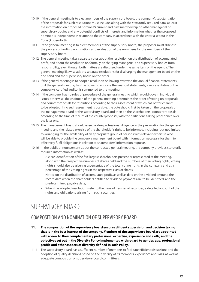- 10.10 If the general meeting is to elect members of the supervisory board, the company's substantiation of the proposals for such resolutions must include, along with the statutorily required data, at least the information on proposed nominee's current and past membership on other managerial or supervisory bodies and any potential conficts of interests and information whether the proposed nominee is independent in relation to the company in accordance with the criteria set out in this Code (Appendix B).
- 10.11 If the general meeting is to elect members of the supervisory board, the proposer must disclose the process of fnding, nomination, and evaluation of the nominees for the members of the supervisory board.
- 10.12 The general meeting takes separate votes about the resolution on the distribution of accumulated proft, and about the resolution on formally discharging managerial and supervisory bodies from responsibility, even though both matters are discussed under the same item on the agenda. The general meeting likewise adopts separate resolutions for discharging the management board on the one hand and the supervisory board on the other.
- 10.13 If the general meeting is to adopt a resolution on having reviewed the annual fnancial statements, or if the general meeting has the power to endorse the fnancial statements, a representative of the company's certifed auditor is summoned to the meeting.
- 10.14 If the company has no rules of procedure of the general meeting which would govern individual issues otherwise, the chairman of the general meeting determines the order of voting on proposals and counterproposals for resolutions according to their assessment of which has better chances to be adopted. If no such assessment is possible, the vote should frst be taken on the proposals of the management board or the supervisory board and then on the shareholders' counterproposals according to the time of receipt of the counterproposal, with the earlier one taking precedence over the later one.
- 10.15 The management board should exercise due professional diligence in the preparation for the general meeting and the related exercise of the shareholder's right to be informed, including (but not limited to) arranging for the availability of an appropriate group of persons with relevant expertise who will be able to provide the company's management board with information necessary for them to efectively fulfl obligations in relation to shareholders' information requests.
- 10.16 In the public announcement about the conducted general meeting, the company provides statutorily required information as well as:
	- A clear identifcation of the fve largest shareholders present or represented at the meeting, along with their respective numbers of shares held and the numbers of their voting rights; voting rights should also be given as a percentage of the total voting rights in the company and as a percentage of the voting rights in the respective class of shares;
	- Notice on the distribution of accumulated proft, as well as data on the dividend amount, the record date when the shareholders entitled to dividend payments are to be identifed, and the predetermined payable date;
	- When the adopted resolutions refer to the issue of new serial securities, a detailed account of the rights and obligations arising from such securities.

### SUPERVISORY BOARD

#### COMPOSITION AND NOMINATION OF SUPERVISORY BOARD

- **11. The composition of the supervisory board ensures diligent supervision and decision taking that is in the best interest of the company. Members of the supervisory board are appointed with a view to their complementary professional expertise, experience and skills, and the objectives set out in the Diversity Policy implemented with regard to gender, age, professional profle and other aspects of diversity defned in such Policy.**
- 11.1 The supervisory board has a sufficient number of members to facilitate efficient discussions and the adoption of quality decisions based on the diversity of its members' experience and skills, as well as adequate composition of supervisory board committees.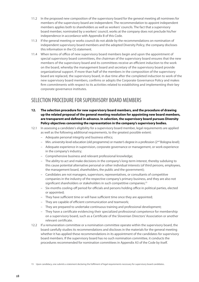- 11.2 In the proposed new composition of the supervisory board for the general meeting all nominees for members of the supervisory board are independent. The recommendation to appoint independent members applies both to shareholders as well as workers' councils. The fact that a supervisory board member, nominated by a workers' council, works at the company does not preclude his/her independence in accordance with Appendix B of this Code.
- 11.3 If the general meeting or works council do not abide by the recommendations on nomination of independent supervisory board members and the adopted Diversity Policy, the company discloses this information in the CG statement.
- 11.4 When terms of office of new supervisory board members begin and upon the appointment of special supervisory board committees, the chairman of the supervisory board ensures that the new members of the supervisory board and its committees receive an efficient induction to the work on the board, whereby the management board and secretary of the supervisory board provide organizational support. If more than half of the members in the composition of the supervisory board are replaced, the supervisory board, in due time after the completed induction to work of the new supervisory board members, confrms or adopts the Corporate Governance Policy and makes frm commitments with respect to its activities related to establishing and implementing their key corporate governance institutes.

### SELECTION PROCEDURE FOR SUPERVISORY BOARD MEMBERS

- **12. The selection procedure for new supervisory board members, and the procedure of drawing up the related proposal of the general meeting resolution for appointing new board members, are transparent and defned in advance. In selection, the supervisory board pursues Diversity Policy objectives concerning the representation in the company's supervisory bodies.**
- 12.1 In assessing a candidate's eligibility for a supervisory board member, legal requirements are applied as well as the following additional requirements, to the greatest possible extent:
	- Adequate personal integrity and business ethics;
	- Min. university-level education (old programme) or master's degree in a profession (2nd Bologna level);
	- Adequate experience in supervision, corporate governance or management, or work experience in the company's industry;
	- Comprehensive business and relevant professional knowledge;
	- The ability to act and make decisions in the company's long-term interest, thereby subduing to this cause potential alternative personal or other individual interests (of third persons, employees, the management board, shareholders, the public and the government);
	- Candidates are not managers, supervisors, representatives, or consultants of competitive companies in the industry of the respective company's primary business, and they are also not significant shareholders or stakeholders in such competitive companies;<sup>15</sup>
	- Six-months cooling-off period for officials and persons holding office in political parties, elected or appointed;
	- $-$  They have sufficient time or will have sufficient time once they are appointed;
	- They are capable of efficient communication and teamwork;
	- They are prepared to undertake continuous training and professional development;
	- They have a certifcate evidencing their specialized professional competence for membership on a supervisory board, such as a Certifcate of the Slovenian Directors' Association or another relevant certifcate.
- 12.2 If a remuneration committee or a nomination committee operate within the supervisory board, the board carefully studies its recommendations and discloses in the materials for the general meeting whether it has applied these recommendations in its appointment of the candidates for supervisory board members. If the supervisory board has no such nomination committee, it conducts the procedures recommended for nomination committees in Appendix A3 of the Code by itself.

<sup>15</sup> Upon candidacy, one submits a statement declaring the fulflment of legal requirements necessary for supervisory board candidates.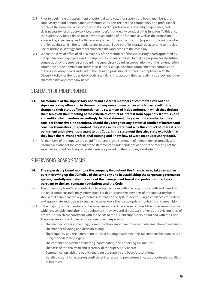- 12.3 Prior to beginning the assessment of potential candidates for supervisory board members, the supervisory board or nomination committee considers the needed competency and professional profle of the nominee, which comprises the level of professional knowledge, experience, and skills necessary for a supervisory board member's high-quality conduct of his function. To this end, the supervisory board draws up in advance an outline of the function as well as the professional knowledge, experience, and skills necessary to perform such a function (supervisory board member profle), against which the candidates are assessed. Such a profle is drawn up according to the size, line of business, strategy and other characteristics and needs of the company.
- 12.4 Where the term of office of all or a majority of the members of the supervisory board appointed by the general meeting expires and the supervisory board is obliged to make a proposal for the future composition of the supervisory board, the supervisory board, in cooperation with the remuneration committee or the nomination committee, if one is set up, develops complementary composition of the supervisory board and a set of the required professional profles in compliance with the Diversity Policy for the supervisory body and taking into account the size, activity, strategy and other characteristics and company needs.

#### STATEMENT OF INDEPENDENCE

- **13. All members of the supervisory board and external members of committees fll out and sign – on taking ofce and in the event of any new circumstances which may result in the change to their status of independence – a statement of independence, in which they declare themselves on their meeting of the criteria of confict of interest from Appendix B of this Code and notify other members accordingly. In this statement, they also indicate whether they consider themselves independent. Should they recognize any potential confict of interest and consider themselves independent, they state in the statement why this confict of interest is not permanent and relevant pursuant to this Code. In the statement they also state explicitly that they have the relevant professional training and know-how to work on a supervisory board.**
- 13.1 All members of the supervisory board fll out and sign a statement of independence annually and inform each other of the content of the statements of independence at one of the meetings of the supervisory board. Such signed statements are posted on the company's website.

#### SUPERVISORY BOARD'S TASKS

- **14. The supervisory board monitors the company throughout the fnancial year, takes an active part in drawing up the CG Policy of the company and in establishing the corporate governance system, carefully evaluates the work of the management board and performs other tasks pursuant to the law, company regulations and the Code.**
- 14.1 The supervisory board's responsibility is to adopt decisions with due care, in good faith and based on obtained complete and timely information. For this purpose, the members of the supervisory board should make sure that the key corporate information and systems for ensuring compliance are credible and appropriate and such as to enable the supervisory board appropriate monitoring and supervision.
- 14.2 If the majority of the members of the supervisory board have been replaced, the supervisory board within reasonable time after the appointment – reviews and, if necessary, amends the existing rules of procedure, which are consistent with the needs of the current supervisory board and with the Code. The supervisory board rules of procedure govern especially:
	- The manner of calling meetings, communication among members and dissemination of materials;
	- The manner of voting and decision-taking;
	- The frequency and the diferent methods of holding board meetings (at company headquarters or using modern technologies);
	- The content and manner of drafting, coordinating, and endorsing the minutes;
	- The tasks of the chairman and secretary of the supervisory board;
	- Communication with the public regarding the supervisory board's resolutions;
	- Detailed criteria for assessing conficts of interests and procedures in cases of potential conficts of interests;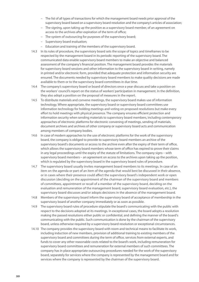- The list of all types of transactions for which the management board needs prior approval of the supervisory board based on a supervisory board resolution and the company's articles of association;
- The signing, upon taking up the position as a supervisory board member, of an agreement on access to the archives after expiration of the term of office;
- The system of outsourcing for purposes of the supervisory board;
- Supervisory board evaluation;
- Education and training of the members of the supervisory board.
- 14.3 In its rules of procedure, the supervisory board sets the scope of topics and timeframes to be respected by the management board in its periodic reporting of the supervisory board. The communicated data enable supervisory board members to make an objective and balanced assessment of the company's fnancial position. The management board provides the materials for supervisory board sessions and other information to the supervisory board in writing, namely in printed and/or electronic form, provided that adequate protection and information security are ensured. The documents needed by supervisory board members to make quality decisions are made available to them or to the supervisory board committees in due time.
- 14.4 The company's supervisory board or board of directors once a year discuss and take a position on the workers' council's report on the status of workers' participation in management. In the defnition, they also adopt a position on the proposal of measures in the report.
- 14.5 To distribute materials and convene meetings, the supervisory board makes use of information technology. Where appropriate, the supervisory board or supervisory board committees use information technology for holding meetings and voting on proposed resolutions but make every effort to hold meetings with physical presence. The company ensures efficient protection and information security when sending materials to supervisory board members, including contemporary approaches of electronic platforms for electronic convening of meetings, sending of materials, document archives and archives of other company or supervisory board acts and communication among members of company bodies.
- 14.6 In case of modern approaches to the use of electronic platforms for the work of the supervisory board, the company is obliged to provide to supervisory board members an archive of the supervisory board's documents or access to the archive even after the expiry of their term of office, which allows the supervisory board members whose term of office has expired to prove their claims in any legal proceedings until the expiry of the statute of limitations. The company signs – with supervisory board members – an agreement on access to the archives upon taking up the position, which is regulated by the supervisory board in the supervisory board rules of procedure.
- 14.7 The supervisory board usually invites management board members to its meetings. In case of an item on the agenda or part of an item of the agenda that would best be discussed in their absence, or in cases where their presence could afect the supervisory board's independent work or open discussion (deciding on the appointment of the chairman of the supervisory board and members of committees, appointment or recall of a member of the supervisory board, deciding on the evaluation and remuneration of the management board, supervisory board evaluation, etc.), the supervisory board discusses and/or adopts decisions in the absence of the management board.
- 14.8 Members of the supervisory board inform the supervisory board of acceptance of membership in the supervisory board of another company immediately or as soon as possible.
- 14.9 The supervisory board rules of procedure stipulate the board's communicating with the public with respect to the decisions adopted at its meetings. In exceptional cases, the board adopts a resolution making the passed resolutions either public or confdential, and defning the manner of the board's communicating with the public. Such communication is done by the chairman of the supervisory board, unless otherwise required by a supervisory board resolution or exceptional circumstances.
- 14.10 The company provides the supervisory board with room and technical means to facilitate its work, including induction of new members, provision of additional training to existing members of the supervisory board and committees during the term of office, services from external experts, and funds to cover any other reasonable costs related to the board's work, including remuneration for supervisory board committees and remuneration for external members of such committees. The company has in place appropriate outsourcing procedures needed for the work of the supervisory board, separately for services where the company is represented by the management board and for services where the company is represented by the chairman of the supervisory board.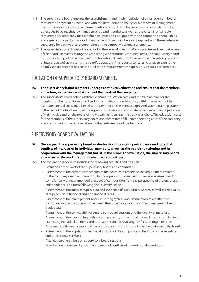- 14.11 The supervisory board ensures the establishment and implementation of a management board remuneration system as compliant with the Remuneration Policy for Members of Management and Supervisory Bodies and recommendations of the Code. The supervisory board defnes the objectives to be reached by management board members, as well as the criteria for variable remuneration, separately for each fnancial year and as aligned with the company's annual plans and assesses the performance of management board members as compliant with these criteria – separately for each year and depending on the company's annual statements.
- 14.12 The supervisory board's report presented at the general meeting offers a precise and credible account of the board's activities during the year. Along with statutorily required items, the supervisory board includes in its report the relevant information about its internal organization and resolving conficts of interest, as well as presents the board's operations. The report also states to what an extent the board's self-assessment has contributed to the improvement of supervisory board's performance.

#### EDUCATION OF SUPERVISORY BOARD MEMBERS

- **15. The supervisory board members undergo continuous education and ensure that the members' know-how; experience and skills meet the needs of the company.**
- 15.1 The supervisory board defnes indicative annual education costs and the training plan for the members of the supervisory board and its committees or decides that, within the amount of the estimated annual costs, members shall, depending on the interest expressed, attend training courses in the feld of the functioning of the supervisory boards and corporate governance. The subject areas of training depend on the needs of individual members and the body as a whole. The education costs for the members of the supervisory board and committees fall under operating costs of the company and are not part of the remuneration for the performance of the function.

#### SUPERVISORY BOARD EVALUATION

- **16. Once a year, the supervisory board evaluates its composition, performance and potential conficts of interests of its individual members, as well as the board's functioning and its cooperation with the management board. In the process of evaluation, the supervisory board also assesses the work of supervisory board committees.**
- 16.1 The evaluation procedure includes the following activities and positions:
	- Evaluation of the work of the supervisory board and committees;
	- Assessment of the current composition of the board with respect to the requirements related to the company's regular operations, to the supervisory board performance assessment and to compliance with recommended practices of composition from the perspective of professionalism, independence, and from following the Diversity Policy;
	- Assessment of the areas of supervision and the scope of supervision system, as well as the quality of supervision in fnancial and non-fnancial areas;
	- Assessment of the management board reporting system and examination of whether the communication and cooperation between the supervisory board and the management board is adequate;
	- Assessment of the convocation of supervisory board sessions and the quality of materials;
	- Assessment of the functioning of the board as a team, of the body's dynamic, of the possibility of expressing individual opinions and reservations and of resolving conficts among members;
	- Assessment of the management of the board's work and the functioning of the chairman of the board;
	- Assessment of the logistic and technical support of the company and the work of the secretary and professional services;
	- Attendance of members on supervisory board sessions;
	- Examination of systems for the management of conficts of interest and dependence.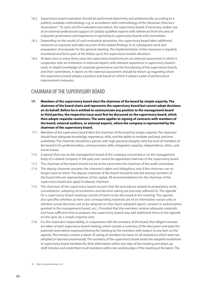- 16.2 Supervisory board evaluation should be performed objectively and professionally according to a publicly available methodology, e.g. in accordance with methodology of the Slovenian Directors' Association<sup>16</sup>. To carry out the evaluation procedure, the supervisory board, if necessary, makes use of an external professional support of suitably qualifed experts with references from the area of corporate governance and experience in operating in supervisory boards and committees.
- 16.3 Depending on the results of such evaluation procedure, the supervisory board takes additional measures as required, and takes account of the related fndings in its subsequent work and preparation of proposals for the general meeting. The implementation of the measures is regularly monitored and forms part of the follow-up to the supervisory board's decisions.
- 16.4 At least once in every three years the supervisory board ensures an external assessment in which it cooperates with an institution or external experts with relevant experience in supervisory board's work, in-depth knowledge of corporate governance and the functioning of the supervisory boards and their committees. A report on the external assessment should be drawn up regarding which the supervisory board adopts a position and based on which it adopts a plan of performance improvement measures.

#### CHAIRMAN OF THE SUPERVISORY BOARD

- **17. Members of the supervisory board elect the chairman of the board by simple majority. The chairman of the board chairs and represents the supervisory board but cannot adopt decisions on its behalf. Before he is entitled to communicate any position to the management board or third parties, the respective issue must frst be discussed on the supervisory board, which then adopts requisite resolutions. The same applies to signing of contracts with members of the board, external auditors, or external experts, where the company is represented by the chairman of the supervisory board.**
- 17.1 Members of the supervisory board elect the chairman of the board by simple majority. The chairman should have adequate knowledge, experience, skills, and the ability to mediate and lead, and time availability. The chairman should be a person with high personal integrity, who has trust of members of the board in his professionalism, communication skills, integration capacity, independence, ethics, and moral virtues.
- 17.2 A person that was on the management board of the company concerned or on the management body of a related company in the past year cannot be appointed chairman of the supervisory board.
- 17.3 The chairman of the board should not be at the same time the chairman of the audit committee.
- 17.4 The deputy chairman assumes the chairman's rights and obligations only if the chairman can no longer exercise them. The deputy chairman of the board should be elected among members of the board who are representatives of the capital. All recommendations for the chairman of the supervisory board also apply to deputy chairman.
- 17.5 The chairman of the supervisory board ensures that the procedures related to preparatory work, consultations, adopting of resolutions and decision taking are precisely adhered to. The agenda for a supervisory board meeting consists of items to be discussed at the meeting. The agenda also specifes whether an item and corresponding materials are of an informative nature only or whether actual decisions are to be adopted on their basis (adopted report, consent or authorization granted to the management board, etc.). Provided that the members receive adequate materials and have sufficient time to prepare, the supervisory board may add additional items to the agenda on the spot, by a simple majority vote.
- 17.6 It is the chairman's responsibility, in cooperation with the secretary of the board, that diligent minutes are taken of each supervisory board meeting, which contain a summary of the discussion and state the potential reservations expressed during the meeting by the members with respect to any item on the agenda. The minutes contain a report of voting of members by name on all resolutions which were not adopted or rejected unanimously. The secretary of the supervisory board sends the adopted resolutions to supervisory board members for their information within two days of the meeting and draws up draft minutes and sends them to all members within ten working days of the meeting at the latest. The

16 http://www.zdruzenje-ns.si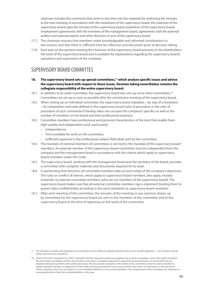chairman includes the comments that arrive in due time into the materials for endorsing the minutes at the next meeting. In accordance with the resolutions of the supervisory board, the chairman of the supervisory board signs the minutes of the supervisory board, resolutions of the supervisory board, employment agreements with the members of the management board, agreements with the external auditor and external experts and other decisions or acts of the supervisory board.

- 17.7 The chairman ensures that members make knowledgeable and informed contributions to discussions, and that there is sufficient time for reflection and discussion prior to decision taking.
- 17.8 Each year on the general meeting the chairman of the supervisory board presents to the shareholders the work of the supervisory board and is available for explanations regarding the supervisory board's operations and supervision of the company.

#### SUPERVISORY BOARD COMMITTES

- **18. The supervisory board sets up special committees,17 which analyse specifc issues and advise the supervisory board with respect to these issues. Decision taking nevertheless remains the collegiate responsibility of the entire supervisory board.**
- 18.1 In addition to an audit committee, the supervisory board also sets up some other committees.<sup>18</sup> Committees are set up as soon as possible after the constitutive meeting of the supervisory board.
- 18.2 When setting up an individual committee, the supervisory board stipulates by way of a resolution – its composition and tasks defned in the supervisory board rules of procedure or the rules of procedure of such committee It thereby takes into account the company's specifcs as well as the number of members on the board and their professional expertise.
- 18.3 Committee members have professional and personal characteristics of the kind that enable them high-quality and independent work, particularly:
	- Independence;
	- Time available for work on the committee;
	- Sufficient expertise in the professional subject-field dealt with by the committee.
- 18.4 The mandate of external members of committees is not tied to the mandate of the supervisory board members. An external member of the supervisory board committee must be independent from the company and the management board in accordance with the criteria which apply to supervisory board members under this Code.
- 18.5 The supervisory board, working with the management board and the secretary of the board, provides a committee with complete materials and documents required for its work.
- 18.6 In performing their function, all committee members take account solely of the company's objectives. The rules on confict of interest, which apply to supervisory board members, also apply, mutatis mutandis, to external committee members (who are not members of the supervisory board). The supervisory board makes sure that all external committee members sign a statement binding them to protect data confdentiality according to the same standards as supervisory board members.
- 18.7 After each meeting of the committee, the minutes of the meeting or any opinions drawn up by committee for the supervisory board are sent to the members of the committee and to the supervisory board at the time of reporting on the work of the committee.

<sup>17</sup> The formation, number and designation of committees may be defned in greater detail by other sector-specifc legislation – e.g. for banks, savings banks, and insurance companies.

<sup>18</sup> Article 279 of the Companies Act (ZGD-1) provides that the supervisory board may appoint one or more committees, such as the audit committee, the nomination committee, and the remuneration committee, to prepare proposals for supervisory board resolutions, to ensure that they are implemented and to perform other professional tasks. The law provides examples of the names of the committees (only the audit committee is legally required), therefore, in Appendix A of the Code, we have presented the most common forms and names of committees in the practice of listed companies, which are not subject to a more detailed defnition in the sectoral legislation. The competences of the committees are important in assessing deviations from the recommendations in this area.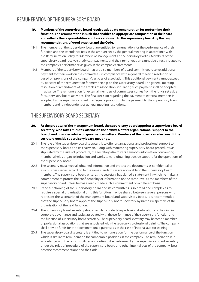#### REMUNERATION OF THE SUPERVISORY BOARD

- **19. Members of the supervisory board receive adequate remuneration for performing their function. The remuneration is such that enables an appropriate composition of the board and refects the responsibilities and tasks endowed to the supervisory board by the law, recommendations of good practice and the Code.**
- 19.1 The members of the supervisory board are entitled to remuneration for the performance of their function and the attendance fees in the amount set by the general meeting in accordance with the Remuneration Policy for Members of Management and Supervisory Bodies. Members of the supervisory board receive strictly cash payments and their remuneration cannot be directly related to the company's performance as given in the company's statements.
- 19.2 Members of the supervisory board that are also members of board committees receive additional payment for their work on the committees, in compliance with a general meeting resolution or based on provisions of the company's articles of association. This additional payment cannot exceed 80 per cent of the remuneration for membership on the supervisory board. The general meeting resolution or amendment of the articles of association stipulating such payment shall be adopted in advance. The remuneration for external members of committees comes from the funds set aside for supervisory board activities. The fnal decision regarding the payment to external members is adopted by the supervisory board in adequate proportion to the payment to the supervisory board members and is independent of general meeting resolutions.

### THE SUPERVISORY BOARD SECRETARY

- **20. At the proposal of the management board, the supervisory board appoints a supervisory board secretary, who takes minutes, attends to the archives, ofers organizational support to the board, and provides advice on governance matters. Members of the board can also consult the secretary outside supervisory board meetings.**
- 20.1 The role of the supervisory board secretary is to offer organizational and professional support to the supervisory board and its chairman. Along with monitoring supervisory board procedures as stipulated by the rules of procedure, the secretary also fosters a smooth information fow among members; helps organize induction and works toward obtaining outside support for the operations of the supervisory board.
- 20.2 The secretary must keep all obtained information and protect the documents as confdential or as a business secret according to the same standards as are applicable to the supervisory board members. The supervisory board ensures the secretary has signed a statement in which he makes a commitment to protect the confdentiality of information on the same level as the members of the supervisory board unless he has already made such a commitment on a diferent basis.
- 20.3 If the functioning of the supervisory board and its committees is so broad and complex as to require a special organisational unit, this function may be shared between several persons who represent the secretariat of the management board and supervisory board. It is recommended that the supervisory board appoint the supervisory board secretary by name irrespective of the organisation of the said function.
- 20.4 The supervisory board secretary should regularly undertake professional education and training in corporate governance and topics associated with the performance of the supervisory function and the function of supervisory board secretary. The supervisory board secretary may become a member of professional associations that are associated with the secretary's professional training. The company shall provide funds for the abovementioned purpose as in the case of internal auditor training.
- 20.5 The supervisory board secretary is entitled to remuneration for the performance of the function which is similar to remuneration for comparable positions in the company. The remuneration is in accordance with the responsibilities and duties to be performed by the supervisory board secretary under the rules of procedure of the supervisory board and other internal acts of the company, best practice recommendations and the Code.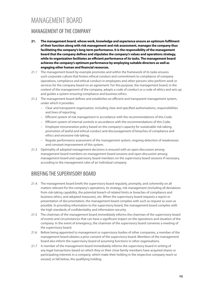### MANAGEMENT BOARD

#### MANAGEMENT OF THE COMPANY

- **21. The management board, whose work, knowledge and experience ensure an optimum fulflment of their function along with risk management and risk assessment, manages the company thus facilitating the company's long-term performance. It is the responsibility of the management board that the company defnes and stipulates the company's values and operations strategy, while its organization facilitates an efcient performance of its tasks. The management board achieves the company's optimum performance by employing suitable directors as well as engaging other human and fnancial resources.**
- 21.1 The management board by example promotes and within the framework of its tasks ensures such corporate culture that fosters ethical conduct and commitment to compliance of company operations, compliance and ethical conduct in employees and other persons who perform work or services for the company based on an agreement. For this purpose, the management board, in the context of the management of the company, adopts a code of conduct or a code of ethics and sets up and guides a system ensuring compliance and business ethics.
- 21.2 The management board defines and establishes an efficient and transparent management system, under which it provides:
	- Clear and transparent organisation, including clear and specifed authorisations, responsibilities and lines of reporting;
	- Efcient system of risk management in accordance with the recommendations of this Code;
	- Efcient system of internal controls in accordance with the recommendations of this Code;
	- Employee remuneration policy based on the company's capacity for sustainable risk-taking, promotion of lawful and ethical conduct and discouragement of breaches of compliance and ethics and excessive risk-taking;
	- Regular performance assessment of the management system, ongoing detection of weaknesses and constant improvement of this system.
- 21.3 Optimality of adopted management decisions is ensured with an open discussion among management board members on management board sessions and open discussion among management board and supervisory board members on the supervisory board sessions if necessary, according to the management rules of an individual company.

### BRIEFING THE SUPERVISORY BOARD

- 21.4. The management board briefs the supervisory board regularly, promptly, and coherently on all matters relevant for the company's operations, its strategy, risk management (including all deviations from risk-taking capability, the potential breach of related limits or breaches of compliance and business ethics, and adopted measures), etc. When the supervisory board requests a report or presentation of documentation, the management board complies with such as request as soon as possible. In providing information to the supervisory board, the management board complies with the high standards of confdentiality and information security.
- 21.5 The chairman of the management board immediately informs the chairman of the supervisory board of events and circumstances that can have a signifcant impact on the operations and situation of the company. In the event of emergency, the chairman of the supervisory board convenes a meeting of the supervisory board.
- 21.6 Before being appointed to management or supervisory bodies of other companies, a member of the management board obtains a prior consent of the supervisory board. Members of the management board also inform the supervisory board of assuming functions in other organisations.
- 21.7 A member of the management board immediately informs the supervisory board in writing of any legal transactions based on which they or their close family members have acquired shares or participating interests in a company, which make their holding in the respective company reach or exceed, or fall below, the qualifying holding.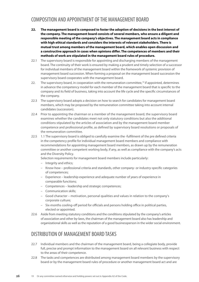#### COMPOSITION AND APPOINTMENT OF THE MANAGEMENT BOARD

- **22. The management board is composed to foster the adoption of decisions in the best interest of the company. The management board consists of several members, who ensure a diligent and responsible meeting of the company's objectives. The management board acts in compliance with high ethical standards and considers the interests of relevant stakeholders. There is mutual trust among members of the management board, which enables open discussion and a constructive approach in cases when opinions difer. The competences of members and their methods of work are stipulated in the management board rules of procedure.**
- 22.1 The supervisory board is responsible for appointing and discharging members of the management board. The continuity of their work is ensured by making a prudent and timely selection of a successor for individual members of the management board within the framework of systemic provision of management board succession. When forming a proposal on the management board succession the supervisory board cooperates with the management board.
- 22. The supervisory board, in cooperation with the remuneration committee,<sup>19</sup> if appointed, determines in advance the competency model for each member of the management board that is specifc to the company and its feld of business, taking into account the life cycle and the specifc circumstances of the company.
- 22.3 The supervisory board adopts a decision on how to search for candidates for management board members, which may be proposed by the remuneration committee taking into account internal candidates (succession).
- 22.4 Prior to appointing the chairman or a member of the management board, the supervisory board examines whether the candidates meet not only statutory conditions but also the additional conditions stipulated by the articles of association and by the management board member competence and professional profle, as defned by supervisory board resolutions or proposals of the remuneration committee.
- 22.5 1.1 The supervisory board is obliged to carefully examine the -fulflment of the pre defned criteria in the competency profle for individual management board members and compliance with recommendations for appointing management board members, as drawn up by the remuneration committee or another competent working body, if any, as well as compliance with the company's acts and the Diversity Policy.

Selection requirements for management board members include particularly:

- Integrity and ethics;
- Know-how professional criteria and standards, other company- or industry-specifc categories of competences;
- Experience leadership experience and adequate number of years of experience in comparable functions;
- Competences leadership and strategic competences;
- Communication skills;
- Good character motivation, personal qualities and values in relation to the company's corporate culture;
- Six-months cooling-off period for officials and persons holding office in political parties, elected or appointed.
- 22.6 Aside from meeting statutory conditions and the conditions stipulated by the company's articles of association and other by-laws, the chairman of the management board also has leadership and organizational skills as well as the reputation of a good businessperson in the wider social environment.

#### DISTRIBUTION OF MANAGEMENT BOARD TASKS

- 22.7 Individual members and the chairman of the management board, being a collegiate body, provide full, precise and prompt information to the management board on all relevant business with respect to the areas of their competence.
- 22.8 The tasks and competences are distributed among management board members by the supervisory board or by the management board rules of procedure or another management board act and are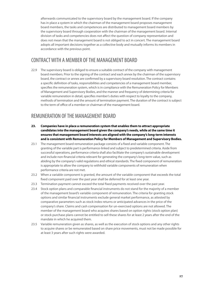afterwards communicated to the supervisory board by the management board. If the company has in place a system in which the chairman of the management board proposes management board members, the tasks and competences are distributed to management board members by the supervisory board through cooperation with the chairman of the management board. Internal division of tasks and competencies does not afect the question of company representation and does not mean that the management board is not obliged to act in concert. The management board adopts all important decisions together as a collective body and mutually informs its members in accordance with the previous point.

#### CONTRACT WITH A MEMBER OF THE MANAGEMENT BOARD

22.9 The supervisory board is obliged to ensure a suitable contract of the company with management board members. Prior to the signing of the contract and each annex by the chairman of the supervisory board, the contract or annex are confrmed by a supervisory board resolution. The contract contains a specifc defnition of tasks, responsibilities and competencies of a management board member, specifes the remuneration system, which is in compliance with the Remuneration Policy for Members of Management and Supervisory Bodies, and the manner and frequency of determining criteria for variable remuneration in detail, specifes member's duties with respect to loyalty to the company, methods of termination and the amount of termination payment. The duration of the contract is subject to the term of office of a member or chairman of the management board.

#### REMUNERATION OF THE MANAGEMENT BOARD

- **23. Companies have in place a remuneration system that enables them to attract appropriate candidates into the management board given the company's needs, while at the same time it ensures that management board interests are aligned with the company's long-term interests and is consistent with Remuneration Policy for Members of Management and Supervisory Bodies.**
- 23.1 The management board remuneration package consists of a fxed and variable component. The granting of the variable part is performance-linked and subject to predetermined criteria. Aside from successful operations, performance criteria shall also facilitate the company's sustainable development and include non-fnancial criteria relevant for generating the company's long-term value, such as abiding by the company's valid regulations and ethical standards. The fxed component of remuneration is appropriate to allow the company to withhold variable components of remuneration when performance criteria are not met.
- 23.2 When a variable component is granted, the amount of the variable component that exceeds the total fxed component paid over the past year shall be deferred for at least one year.
- 23.3 Termination payment cannot exceed the total fxed payments received over the past year.
- 23.4 Stock option plans and comparable fnancial instruments do not stand for the majority of a member of the management board's variable component of remuneration. The criteria for granting stock options and similar fnancial instruments exclude general market performance, as attested by comparative parameters such as stock index returns or anticipated advances in the price of the company's share. Claims and cash compensation for un-exercised options are not allowed. The member of the management board who acquires shares based on option rights (stock option plan) or stock purchase plans cannot be entitled to sell these shares for at least 2 years after the end of the mandate in which he acquired them.
- 23.5 Variable remuneration given as shares, as well as the execution of stock options and any other rights to acquire shares or be remunerated based on share price movements, must not be made possible for at least 3 years after such rights were awarded.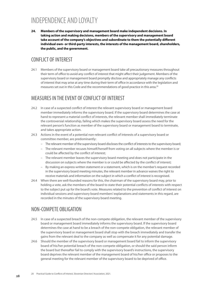### INDEPENDENCE AND LOYALTY

**24. Members of the supervisory and management board make independent decisions. In taking action and making decisions, members of the supervisory and management board take account of the company's objectives and subordinate to them the potentially diferent individual own- or third-party interests, the interests of the management board, shareholders, the public, and the government.**

#### CONFLICT OF INTEREST

24.1 Members of the supervisory board or management board take all precautionary measures throughout their term of office to avoid any conflict of interest that might affect their judgement. Members of the supervisory board or management board promptly disclose and appropriately manage any conficts of interest that may arise at any time during their term of office in accordance with the legislation and measures set out in this Code and the recommendations of good practice in this area.<sup>20</sup>

#### MEASURES IN THE EVENT OF CONFLICT OF INTEREST

- 24.2 In case of a suspected confict of interest the relevant supervisory board or management board member immediately informs the supervisory board. If the supervisory board determines the case at hand to represent a material confict of interests, the relevant member shall immediately terminate the controversial relationship, failing which makes the supervisory board assess the need for the relevant person's function as member of the supervisory board or management board to terminate, and takes appropriate action.
- 24.3 Actions in the event of a potential non-relevant confict of interests of a supervisory board or committee member, are predominantly:
	- The relevant member of the supervisory board discloses the confict of interests to the supervisory board;
	- The relevant member recuses himself/herself from voting on all subjects where the member is or could be afected by the confict of interest;
	- The relevant member leaves the supervisory board meeting and does not participate in the discussion on subjects where the member is or could be afected by the confict of interest;
	- By making an express written statement or a statement, which is on the member's request recorded in the supervisory board meeting minutes, the relevant member in advance waives the right to receive materials and information on the subject in which a confict of interest is recognised.
- 24.4 When there are well-founded reasons for this, the chairman of the supervisory board may, prior to holding a vote, ask the members of the board to state their potential conficts of interests with respect to the subject put up for the board's vote. Measures related to the prevention of confict of interest on individual sessions and supervisory board members' explanations and statements in this regard, are recorded in the minutes of the supervisory board meeting.

#### NON-COMPETE OBLIGATION

- 24.5 In case of a suspected breach of the non-compete obligation, the relevant member of the supervisory board or management board immediately informs the supervisory board. If the supervisory board determines the case at hand to be a breach of the non-compete obligation, the relevant member of the supervisory board or management board shall stop with the breach immediately and transfer the gains from the relevant deal to the company as well as compensate it for any potential damage.
- 24.6 Should the member of the supervisory board or management board fail to inform the supervisory board of his/her potential breach of the non-compete obligation, or should the said person inform the board but thereafter fail to comply with the supervisory board's instructions, the supervisory board deprives the relevant member of the management board of his/her office or proposes to the general meeting for the relevant member of the supervisory board to be deprived of office.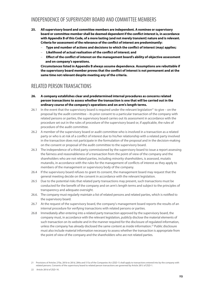#### INDEPENDENCE OF SUPERVISORY BOARD AND COMMITTEE MEMBERS

- **25. All supervisory board and committee members are independent. A nominee or supervisory board or committee member shall be deemed dependent if the confict interest is, in accordance with Appendix B of this Code, of a more lasting (and not merely transient) nature and is relevant. Criteria for assessment of the relevance of the confict of interest are predominantly:** 
	- – **Type and number of actions and decisions to which the confict of interest (may) applies;**
	- – **Likelihood of actual realisation of the confict of interest; and**
	- – **Efect of the confict of interest on the management board's ability of objective assessment and on company's operations.**

**Circumstances listed in Appendix B always assume dependence. Assumptions are rebuttable if the supervisory board member proves that the confict of interest is not permanent and at the same time not relevant despite meeting any of the criteria.** 

#### RELATED PERSON TRANSACTIONS

- **26. A company establishes clear and predetermined internal procedures as concerns related person transactions to assess whether the transaction is one that will be carried out in the ordinary course of the company's operations and on arm's length terms.**
- 26.1 In the event that the supervisory board is required under the relevant legislation<sup>21</sup> to give on the proposal by the audit committee – its prior consent to a particular transaction of the company with related persons or parties, the supervisory board carries out its assessment in accordance with the procedure set out in the rules of procedure of the supervisory board or, if applicable, the rules of procedure of the audit committee.
- 26.2 A member of the supervisory board or audit committee who is involved in a transaction as a related party or who is at risk of a confict of interest due to his/her relationship with a related party involved in the transaction does not participate in the formulation of the proposal and in the decision-making on the consent or proposal of the audit committee to the supervisory board.
- 26.3 The independence of a third party commissioned by the supervisory board to issue a report assessing the fairness and reasonableness of a transaction from the point of view of the company and the shareholders who are not related parties, including minority shareholders, is assessed, mutatis mutandis, in accordance with the rules for the management of conficts of interest as they apply to members of the management or supervisory body of the company.
- 26.4 If the supervisory board refuses to grant its consent, the management board may request that the general meeting decide on the consent in accordance with the relevant legislation.
- 26.5 Due to the potential risks that related party transactions may present, such transactions must be conducted for the beneft of the company and on arm's length terms and subject to the principles of transparency and adequate oversight.
- 26.6. The company must regularly maintain a list of related persons and related parties, which is notifed to the supervisory board.
- 26.7 At the request of the supervisory board, the company's management board reports the results of an internal procedure for verifying transactions with related persons or parties.
- 26.8 Immediately after entering into a related party transaction approved by the supervisory board, the company must, in accordance with the relevant legislation, publicly disclose the material elements of such transaction on its website and in the manner required for the disclosure of regulated information, unless the company has already disclosed the same content as inside information.22 Public disclosure must also include material information necessary to assess whether the transaction is appropriate from the point of view of the company and the shareholders who are not related parties.

<sup>21</sup> Provisions of Articles 270a, 281b to 281d, 284a and 515a of the Companies Act (ZGD-1) shall apply to transactions entered into by the company with related persons. Consents of the supervisory board to related person transactions are governed by Article 281č of ZGD-1.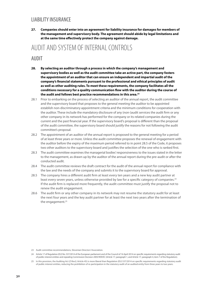#### LIABILITY INSURANCE

**27. Companies should enter into an agreement for liability insurance for damages for members of the management and supervisory body. The agreement should abide by legal limitations and at the same time efectively protect the company against damage.** 

### AUDIT AND SYSTEM OF INTERNAL CONTROLS

#### AUDIT

- **28. By selecting an auditor through a process in which the company's management and supervisory bodies as well as the audit committee take an active part, the company fosters the appointment of an auditor that can ensure an independent and impartial audit of the company's fnancial statements pursuant to the professional and ethical principles of audit as well as other auditing rules. To meet these requirements, the company facilitates all the conditions necessary for a quality communication fow with the auditor during the course of the audit and follows best practice recommendations in this area.23**
- 28.1 Prior to embarking on the process of selecting an auditor of the annual report, the audit committee and the supervisory board that proposes to the general meeting the auditor to be appointed establish non-discriminatory appointment criteria and the minimum conditions for cooperation with the auditor. These include the mandatory disclosure of any (non-)audit services the audit frm or any other company in its network has performed for the company or its related companies during the current and the past fnancial year. If the supervisory board's proposal is diferent than the proposal of the audit committee, the supervisory board should justify the reasons for not following the audit committee's proposal.
- 28.2 The appointment of an auditor of the annual report is proposed to the general meeting for a period of at least three years or more. Unless the audit committee proposes the renewal of engagement with the auditor before the expiry of the maximum period referred to in point 28.5 of the Code, it proposes two other auditors to the supervisory board and justifes the selection of the one who is ranked frst.
- 28.3 The audit committee examines the managerial bodies' responsiveness to the issues stated in the letter to the management, as drawn up by the auditor of the annual report during the pre-audit or after the conducted audit.
- 28.4 The audit committee reviews the draft contract for the audit of the annual report for compliance with the law and the needs of the company and submits it to the supervisory board for approval.
- 28.5 The company hires a diferent audit frm at least every ten years and a new key audit partner at least every seven years, unless otherwise provided by law for a specific category of companies.<sup>24</sup> If the audit frm is replaced more frequently, the audit committee must justify the proposal not to renew the audit engagement.
- 28.6 The audit frm or any other company in its network may not resume the statutory audit for at least the next four years and the key audit partner for at least the next two years after the termination of the engagement.25

<sup>23</sup> Audit committee recommendations, Slovenian Directors' Association.

<sup>24</sup> Article 17 of Regulation (EU) No. 537/2014 of the European parliament and of the Council of 16 April 2014 on specifc requirements regarding statutory audit of public-interest entities and repealing Commission Decision 2005/909/EC (Article 17, paragraph 1, and Article 17, paragraph 4, item 7 of the Regulation).

<sup>25</sup> In this provision, the Auditing Act (Z-Rev2; Article 45) is more liberal than Regulation (EU) 537/2014 on specifc requirements regarding statutory audit of public-interest entities, reducing the prohibition of re-participation in the statutory audit of an audited entity from three years to two years.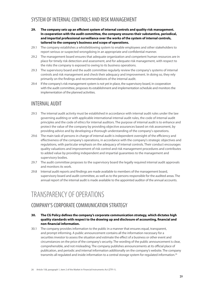#### SYSTEM OF INTERNAL CONTROLS AND RISK MANAGEMENT

- **29. The company sets up an efcient system of internal controls and quality risk management. In cooperation with the audit committee, the company ensures their substantive, periodical, and impartial professional surveillance over the works of the system of internal controls, tailored to the company's business and scope of operations.**
- 29.1 The company establishes a whistleblowing system to enable employees and other stakeholders to report serious or suspected wrongdoing in an appropriate and confdential manner.
- 29.2 The management board ensures that adequate organization and competent human resources are in place for timely risk detection and assessment, and for adequate risk management, with respect to the risks the company is exposed to owing to its business operations.
- 29.3 The supervisory board and the audit committee regularly review the company's systems of internal controls and risk management and check their adequacy and improvement. In doing so, they rely primarily on the fndings and recommendations of the internal audit.
- 29.4 If the company's risk management system is not yet in place, the supervisory board, in cooperation with the audit committee, proposes its establishment and implementation schedule and monitors the implementation of the planned activities.

#### INTERNAL AUDIT

- 29.5 The internal audit activity must be established in accordance with internal audit rules under the law governing auditing or with applicable international internal audit rules, the code of internal audit principles and the code of ethics for internal auditors. The purpose of internal audit is to enhance and protect the value of the company by providing objective assurances based on risk assessment, by providing advice and by developing a thorough understanding of the company's operations.
- 29.6 The main task of persons in charge of internal audit is independent oversight of the efficiency and efectiveness of the company's operations, in accordance with the company's strategic objectives and regulations, with particular emphasis on the adequacy of internal controls. Their conduct encourages quality valuations and improvement of risk control and risk management procedures and contributes to added value by providing independent and impartial guarantees to the management and supervisory bodies.
- 29.7 The audit committee proposes to the supervisory board the legally required internal audit approvals and monitors its work.
- 29.8 Internal audit reports and fndings are made available to members of the management board, supervisory board and audit committee, as well as to the persons responsible for the audited areas. The annual report of the internal audit is made available to the appointed auditor of the annual accounts.

### TRANSPARENCY OF OPERATIONS

#### COMPANY'S CORPORATE COMMUNICATION STRATEGY

- **30. The CG Policy defnes the company's corporate communication strategy, which dictates high quality standards with respect to the drawing up and disclosure of accounting, fnancial and non-fnancial information.**
- 30.1 The company provides information to the public in a manner that ensures equal, transparent, and prompt informing. A public announcement contains all the information necessary for a securities investor to assess the situation and estimate the efect of a business or other event and circumstances on the price of the company's security. The wording of the public announcement is clear, comprehensible, and not misleading. The company publishes announcements at its official place of publication, and periodic and internal information additionally on the company's website. The company transmits all regulated and inside information to a central storage system for regulated information.<sup>26</sup>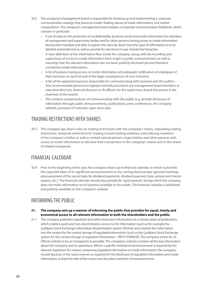- 30.2 The company's management board is responsible for drawing up and implementing a corporate communication strategy that prevents insider dealing (abuse of inside information) and market manipulation. The company's management board adopts a Corporate Communication Rulebook, which contains in particular:
	- A set of rules on the protection of confdentiality, business secret and inside information for members of management and supervisory bodies and for other persons having access to inside information during their mandate and after it expires; the rules lay down how this type of information is to be labelled and protected as well as provide for sanctions in case of potential breaches;
	- A clear defnition of the information fow inside the company, along with the recording and supervision of access to inside information from origin to public announcement, as well as warnings that the relevant information has not been publicly disclosed yet and therefore constitutes inside information;
	- A list of persons having access to inside information and adequate notifcation of employees of their inclusion on such list and of the legal consequences of such inclusion;
	- A list of the appointed persons responsible for communicating with investors and the publics (the recommended persons to organize internal procedures are management board members or executive directors, financial directors or IR officers; for the supervisory board this person is the chairman of the board);
	- The contents and procedures of communicating with the public (e.g. prompt disclosure of information through public announcements, publications, press conferences, the company' website, provision of materials, open-door day).

### TRADING RESTRICTIONS WITH SHARES

30.3 The company lays down rules on trading restrictions with the company's shares, stipulating trading restrictions, temporal restrictions for trading (closed trading windows) and ordering members of the company's bodies as well as related natural persons, legal entities and other persons with access to inside information to disclose their transactions in the company's shares and in the shares of related companies.

#### FINANCIAL CALENDAR

30.4 Prior to the beginning of the year, the company draws up its fnancial calendar, in which it provides the expected dates of its signifcant announcements in the coming fnancial year (general meetings, announcement of the record date for dividend payments, dividend payment date, annual and interim reports, etc.). The fnancial calendar should also provide for 'quiet periods' during which the company does not make information on its business available to the public. The fnancial calendar is published and publicly available on the company's website.

#### INFORMING THE PUBLIC

#### **31. The company sets up a manner of informing the public that provides for equal, timely and economical access to all relevant information to both the shareholders and the public.**

31.1 The company publishes regulated and other important information on a chosen place of publication, which enables quick and non-discriminatory access to the information (such as for example the Ljubljana Stock Exchange information dissemination system SEOnet) and submits the information into the system for the central storage of regulated information (such as the Ljubljana Stock Exchange system for the central storage of regulated information – INFO STORAGE). The company strives for its official website to be as transparent as possible. The company's website contains all the key information about the company and its operations. Where a specifc method of announcement is required by the relevant legislation for notices containing regulated information or inside information, the company should disclose, in the same manner as required for the disclosure of regulated information and inside information, at least the title of the notice and the place and time of announcement.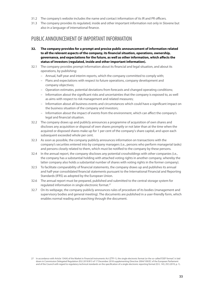- 31.2 The company's website includes the name and contact information of its IR and PR officers.
- 31.3 The company provides its regulated, inside and other important information not only in Slovene but also in a language of international fnance.

#### PUBLIC ANNOUNCEMENT OF IMPORTANT INFORMATION

- **32. The company provides for a prompt and precise public announcement of information related to all the relevant aspects of the company, its fnancial situation, operations, ownership, governance, and expectations for the future, as well as other information, which afects the status of investors (regulated, inside and other important information).**
- 32.1 The company provides prompt information about its fnancial and legal situation, and about its operations, by publishing:
	- Annual, half-year and interim reports, which the company committed to comply with;
	- Plans and expectations with respect to future operations, company development and company objectives;
	- Operation estimates, potential deviations from forecasts and changed operating conditions;
	- Information about the signifcant risks and uncertainties that the company is exposed to, as well as aims with respect to risk management and related measures;
	- Information about all business events and circumstances which could have a signifcant impact on the business situation of the company and investors;
	- Information about the impact of events from the environment, which can afect the company's legal and fnancial situation.
- 32.2 The company draws up and publicly announces a programme of acquisition of own shares and discloses any acquisition or disposal of own shares promptly or not later than at the time when the acquired or disposed shares make up for 1 per cent of the company's share capital, and upon each subsequent exceeded whole per cent.
- 32.3 As soon as possible, the company publicly announces information on transactions with the company's securities entered into by company managers (i.e., persons who perform managerial tasks) and persons closely related to them, which must be notifed to the company by these persons.
- 32.4 In the annual report, the company discloses any potential crossholdings with other companies (i.e., the company has a substantial holding with attached voting rights in another company, whereby the latter company also holds a substantial number of shares with voting rights in the former company).
- 32.5 To facilitate comparability of fnancial statements, the company draws up and publishes its annual and half-year consolidated fnancial statements pursuant to the International Financial and Reporting Standards (IFRS) as adopted by the European Union.
- 32.6 The annual report must be prepared, published and submitted to the central storage system for regulated information in single electronic format.27
- 32.7 On its webpage, the company publicly announces rules of procedure of its bodies (management and supervisory bodies and general meeting). The documents are published in a user-friendly form, which enables normal reading and searching through the document.

<sup>27</sup> In accordance with Article 134(4) of the Market in Financial Instruments Act (ZTFI-1), the single electronic format (or the so-called 'ESEF format') is laid down in Commission Delegated Regulation (EU) 2019/815 of 17 December 2018 supplementing Directive 2004/109/EC of the European Parliament and of the Council with regard to regulatory technical standards on the specifcation of a single electronic reporting format (OJ L 143, 29.5.2019, p. 1).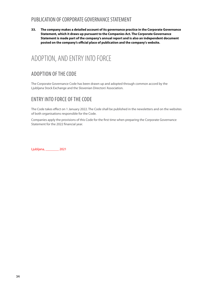#### PUBLICATION OF CORPORATE GOVERNANCE STATEMENT

**33. The company makes a detailed account of its governance practice in the Corporate Governance Statement, which it draws up pursuant to the Companies Act. The Corporate Governance Statement is made part of the company's annual report and is also an independent document posted on the company's ofcial place of publication and the company's website.**

### ADOPTION, AND ENTRY INTO FORCE

### ADOPTION OF THE CODE

The Corporate Governance Code has been drawn up and adopted through common accord by the Ljubljana Stock Exchange and the Slovenian Directors' Association.

#### ENTRY INTO FORCE OF THE CODE

The Code takes efect on 1 January 2022. The Code shall be published in the newsletters and on the websites of both organisations responsible for the Code.

Companies apply the provisions of this Code for the frst time when preparing the Corporate Governance Statement for the 2022 fnancial year.

Ljubljana, \_\_\_\_\_\_\_\_ 2021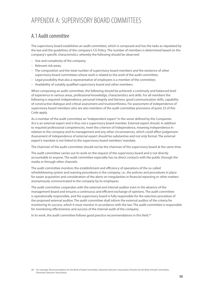### APPENDIX A: SUPERVISORY BOARD COMMITTEES

#### A.1 Audit committee

The supervisory board establishes an audit committee, which is composed and has the tasks as stipulated by the law and the guidelines of the company's CG Policy. The number of members is determined based on the company's specifc characteristics, whereby the following should be observed:

- Size and complexity of the company;
- Relevant risk areas;
- The composition and the total number of supervisory board members and the existence of other supervisory board committees whose work is related to the work of the audit committee;
- Legal possibility that also a representative of employees is a member of the committee;
- Availability of suitably qualifed supervisory board and other members.

When composing an audit committee, the following should be achieved: a continuity and balanced level of experience in various areas, professional knowledge, characteristics and skills. For all members the following is required: independence, personal integrity and fairness, good communication skills, capability of constructive dialogue and critical assessment and trustworthiness. For assessment of independence of supervisory board members who are also members of the audit committee provisions of point 23 of this Code apply.

As a member of the audit committee an "Independent expert" in the sense defned by the Companies Act is an external expert and is thus not a supervisory board member. External expert should, in addition to required professional competencies, meet the criterion of independence, meaning independence in relation to the company and its management and any other circumstances, which could afect judgement. Assessment of independence of external expert should be substantive and not only formal. The external expert's mandate is not linked to the supervisory board members' mandate.

The chairman of the audit committee should not be the chairman of the supervisory board at the same time.

The audit committee carries out its work on the request of the supervisory board and is not directly accountable to anyone. The audit committee especially has no direct contacts with the public through the media or through other channels.

The audit committee monitors the establishment and efficiency of operations of the so-called whistleblowing system and warning procedures in the company, i.e., the policies and procedures in place for easier acquisition and consideration of the alerts on irregularities in fnancial reporting or other matters anonymously communicated to the company by its employees.

The audit committee cooperates with the external and internal auditor even in the absence of the management board and ensures a continuous and efficient exchange of opinions. The audit committee is operationally responsible, and the supervisory board is fully responsible for the selection procedure of the proposed external auditor. The audit committee shall inform the external auditor of the criteria for monitoring its success, which it must monitor in accordance with the law. The audit committee is responsible for monitoring efectiveness and success of the internal audit of the company.

In its work, the audit committee follows good practice recommendations in this field.<sup>28</sup>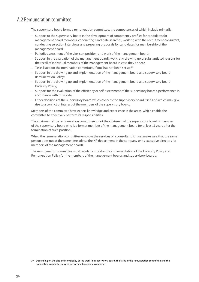#### A.2 Remuneration committee

The supervisory board forms a remuneration committee, the competences of which include primarily:

- Support to the supervisory board in the development of competency profles for candidates for management board members, conducting candidate searches, working with the recruitment consultant, conducting selection interviews and preparing proposals for candidates for membership of the management board;
- Periodic assessment of the size, composition, and work of the management board;
- Support in the evaluation of the management board's work, and drawing up of substantiated reasons for the recall of individual members of the management board in case they appear;
- $-$  Tasks listed for the nomination committee, if one has not been set up;<sup>29</sup>
- Support in the drawing up and implementation of the management board and supervisory board Remuneration Policy;
- Support in the drawing up and implementation of the management board and supervisory board Diversity Policy;
- Support for the evaluation of the efficiency or self-assessment of the supervisory board's performance in accordance with this Code;
- Other decisions of the supervisory board which concern the supervisory board itself and which may give rise to a confict of interest of the members of the supervisory board.

Members of the committee have expert knowledge and experience in the areas, which enable the committee to efectively perform its responsibilities.

The chairman of the remuneration committee is not the chairman of the supervisory board or member of the supervisory board who is a former member of the management board for at least 3 years after the termination of such position.

When the remuneration committee employs the services of a consultant, it must make sure that the same person does not at the same time advise the HR department in the company or its executive directors (or members of the management board).

The remuneration committee must regularly monitor the implementation of the Diversity Policy and Remuneration Policy for the members of the management boards and supervisory boards.

<sup>29</sup> Depending on the size and complexity of the work in a supervisory board, the tasks of the remuneraton commitee and the nominaton commitee may be performed by a single commitee.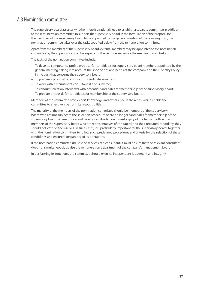#### A.3 Nomination committee

The supervisory board assesses whether there is a rational need to establish a separate committee in addition to the remuneration committee to support the supervisory board in the formulation of the proposal for the members of the supervisory board to be appointed by the general meeting of the company. If so, the nomination committee takes over the tasks specifed below from the remuneration committee.

Apart from the members of the supervisory board, external members may be appointed to the nomination committee by the supervisory board as experts for the felds necessary for the exercise of such tasks.

The tasks of the nomination committee include:

- To develop competency profle proposal for candidates for supervisory board members appointed by the general meeting, taking into account the specifcities and needs of the company and the Diversity Policy in the part that concerns the supervisory board;
- To prepare a proposal on conducting candidate searches;
- To work with a recruitment consultant, if one is invited;
- To conduct selection interviews with potential candidates for membership of the supervisory board;
- To prepare proposals for candidates for membership of the supervisory board.

Members of the committee have expert knowledge and experience in the areas, which enable the committee to efectively perform its responsibilities.

The majority of the members of the nomination committee should be members of the supervisory board who are not subject to the selection procedure or are no longer candidates for membership of the supervisory board. Where this cannot be ensured due to concurrent expiry of the terms of office of all members of the supervisory board who are representatives of the capital and their repeated candidacy, they should not vote on themselves. In such cases, it is particularly important for the supervisory board, together with the nomination committee, to follow such predefned procedures and criteria for the selection of these candidates and ensure transparency of its operations.

If the nomination committee utilises the services of a consultant, it must ensure that the relevant consultant does not simultaneously advise the remuneration department of the company's management board.

In performing its functions, the committee should exercise independent judgement and integrity.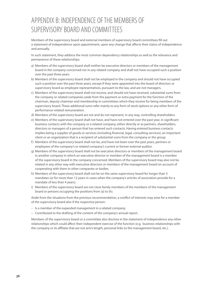## APPENDIX B: INDEPENDENCE OF THE MEMBERS OF SUPERVISORY BOARD AND COMMITTEES

Members of the supervisory board and external members of supervisory board committees fll out a statement of independence upon appointment, upon any change that affects their status of independence and annually.

In such statement, they address the most common dependency relationships as well as the relevance and permanence of these relationships:

- a) Members of the supervisory board shall neither be executive directors or members of the management board in the company concerned nor in any related company and shall not have occupied such a position over the past three years.
- b) Members of the supervisory board shall not be employed in the company and should not have occupied such a position over the past three years, except if they were appointed into the board of directors or supervisory board as employee representatives, pursuant to the law, and are not managers.
- c) Members of the supervisory board shall not receive, and should not have received, substantial sums from the company or related companies aside from the payment or extra payment for the function of the chairman, deputy chairman and membership in committees which they receive for being members of the supervisory board. These additional sums refer mainly to any form of stock options or any other form of performance-related remuneration.
- d) Members of the supervisory board are not and do not represent, in any way, controlling shareholders.
- e) Members of the supervisory board shall not have, and have not entered over the past year, in signifcant business contacts with the company or a related company, either directly or as partners, shareholders, directors or managers of a person that has entered such contacts. Having entered business contacts implies being a supplier of goods or services (including fnancial, legal, consulting services), an important client or an organization that is a recipient of substantial sums from the company or the group.
- f) Members of the supervisory board shall not be, and have not been over the past years, partners or employees of the company's or related company's current or former external auditor.
- g) Members of the supervisory board shall not be executive directors or members of the management board in another company in which an executive director or member of the management board is a member of the supervisory board in the company concerned. Members of the supervisory board may also not be related in any other way with executive directors or members of the management board on account of cooperating with them in other companies or bodies.
- h) Members of the supervisory board shall not be on the same supervisory board for longer than 3 mandates (or for more than 12 years in cases when the company's articles of association provide for a mandate of less than 4 years).
- i) Members of the supervisory board are not close family members of the members of the management board or persons occupying the positions from (a) to (h).

Aside from the situations from the previous recommendation, a confict of interests may arise for a member of the supervisory board also if the respective person:

- Is a member of the expanded management in a related company;
- Contributed to the drafting of the content of the company's annual report.

Members of the supervisory board or a committee also disclose in the statement of independence any other relationships which could afect their independent exercise of the function (e.g. business relationships with the company or its afliate that are not arm's length, personal links to the management board, etc.).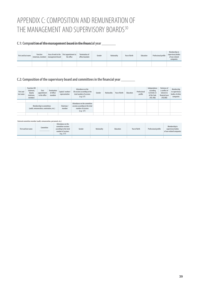## APPENDIX C: COMPOSITION AND REMUNERATION OF THE MANAGEMENT AND SUPERVISORY BOARDS<sup>30</sup>

#### **C.1: Composition of the management board in the financial year \_\_\_\_\_\_\_\_\_**

| First and last name (chairman, member) management board | <b>Function</b> | Area of work in the First appointment to<br>the office | <b>Termination of</b><br>office/mandate | Gender | <b>Nationality</b> | Year of birth | Education | Professional profile | Membership in<br>supervisory bodies<br>of non-related<br>companies |
|---------------------------------------------------------|-----------------|--------------------------------------------------------|-----------------------------------------|--------|--------------------|---------------|-----------|----------------------|--------------------------------------------------------------------|
|                                                         |                 |                                                        |                                         |        |                    |               |           |                      |                                                                    |

#### **C.2: Composition of the supervisory board and committees in the fnancial year \_\_\_\_\_\_\_**

| <b>First and</b><br>last name | <b>Function (SB</b><br>chairman.<br>deputy<br>chairman.<br>member)  | First<br>appointment<br>to the office | <b>Termination</b><br>of office/<br>mandate | Capital / workers'<br>representative                                                               | Attendance on the<br>SB sessions according to the<br>total number of sessions<br>(e.g. 5/7) | Gender | <b>Nationality</b> | Year of birth | <b>Education</b> | Professional<br>profile | Independence<br>according<br>to Article 23<br>of the Code<br>(YES /NO) | <b>Existence of</b><br>a conflict of<br>interest in<br>financial year<br>(YES/NO) | Membership<br>in supervisory<br>bodies of other<br>companies |
|-------------------------------|---------------------------------------------------------------------|---------------------------------------|---------------------------------------------|----------------------------------------------------------------------------------------------------|---------------------------------------------------------------------------------------------|--------|--------------------|---------------|------------------|-------------------------|------------------------------------------------------------------------|-----------------------------------------------------------------------------------|--------------------------------------------------------------|
|                               |                                                                     |                                       |                                             |                                                                                                    |                                                                                             |        |                    |               |                  |                         |                                                                        |                                                                                   |                                                              |
|                               | Membership in committees<br>(audit, remuneration, nomination, etc.) |                                       | Chairman /<br>member                        | Attendance on the committee<br>sessions according to the total<br>number of sessions<br>(e.g. 5/7) |                                                                                             |        |                    |               |                  |                         |                                                                        |                                                                                   |                                                              |
|                               |                                                                     |                                       |                                             |                                                                                                    |                                                                                             |        |                    |               |                  |                         |                                                                        |                                                                                   |                                                              |

#### **External committee member (audit, remuneration, personnel, etc.)**

| First and last name | Committee | Attendance on the<br>committee sessions<br>according to the total<br>number of sessions<br>(e.q. 5/7) | Gender | Nationality | <b>Education</b> | Year of birth | Professional profile | Membership in<br>supervisory bodies<br>of non-related companies |
|---------------------|-----------|-------------------------------------------------------------------------------------------------------|--------|-------------|------------------|---------------|----------------------|-----------------------------------------------------------------|
|                     |           |                                                                                                       |        |             |                  |               |                      |                                                                 |